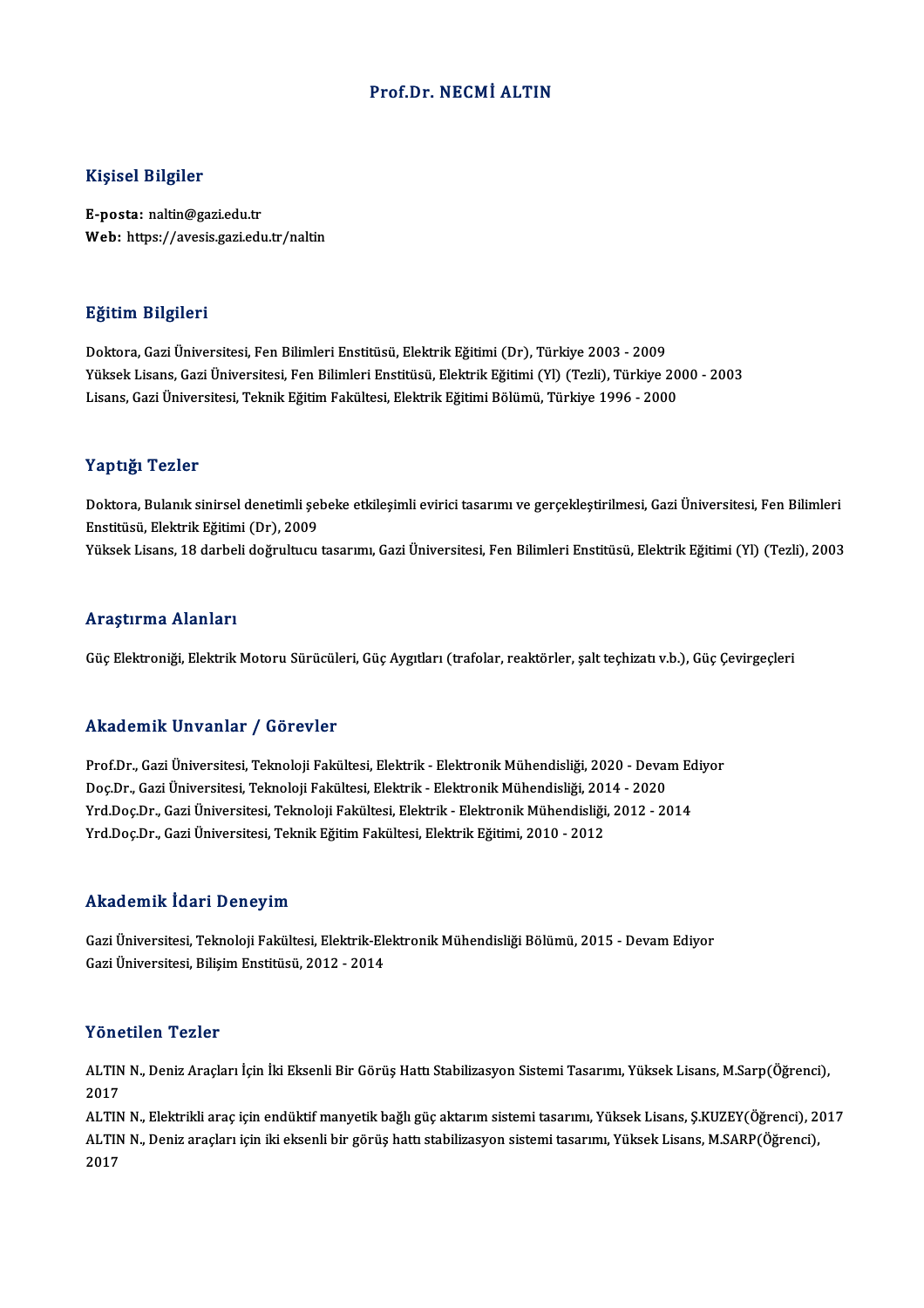#### Prof.Dr.NECMİ ALTIN

#### Kişisel Bilgiler

E-posta: naltin@gazi.edu.tr Web: https://avesis.gazi.edu.tr/naltin

#### Eğitim Bilgileri

Doktora,GaziÜniversitesi,FenBilimleriEnstitüsü,ElektrikEğitimi (Dr),Türkiye 2003 -2009 YüksekLisans,GaziÜniversitesi,FenBilimleriEnstitüsü,ElektrikEğitimi (Yl) (Tezli),Türkiye 2000 -2003 Lisans,GaziÜniversitesi,TeknikEğitimFakültesi,ElektrikEğitimiBölümü,Türkiye 1996 -2000

#### Yaptığı Tezler

Yaptığı Tezler<br>Doktora, Bulanık sinirsel denetimli şebeke etkileşimli evirici tasarımı ve gerçekleştirilmesi, Gazi Üniversitesi, Fen Bilimleri<br>Fnetitüsü, Flektrik Fătimi (Dr), 2000 1 üp esas<br>Doktora, Bulanık sinirsel denetimli şel<br>Enstitüsü, Elektrik Eğitimi (Dr), 2009<br>Yüksel: Lisans, 18 darbeli değmultusu Enstitüsü, Elektrik Eğitimi (Dr), 2009<br>Yüksek Lisans, 18 darbeli doğrultucu tasarımı, Gazi Üniversitesi, Fen Bilimleri Enstitüsü, Elektrik Eğitimi (Yl) (Tezli), 2003

#### Araştırma Alanları

Güç Elektroniği, Elektrik Motoru Sürücüleri, Güç Aygıtları (trafolar, reaktörler, şalt teçhizatı v.b.), Güç Çevirgeçleri

#### Akademik Unvanlar / Görevler

Prof.Dr.,GaziÜniversitesi,TeknolojiFakültesi,Elektrik-ElektronikMühendisliği,2020 -DevamEdiyor rındu olirin "Olivuliar" / "Olivuliar"<br>Prof.Dr., Gazi Üniversitesi, Teknoloji Fakültesi, Elektrik - Elektronik Mühendisliği, 2020 - Devai<br>Doç.Dr., Gazi Üniversitesi, Teknoloji Fakültesi, Elektrik - Elektronik Mühendisliği, Prof.Dr., Gazi Üniversitesi, Teknoloji Fakültesi, Elektrik - Elektronik Mühendisliği, 2020 - Devam Ec<br>Doç.Dr., Gazi Üniversitesi, Teknoloji Fakültesi, Elektrik - Elektronik Mühendisliği, 2014 - 2020<br>Yrd.Doç.Dr., Gazi Ünive Doç.Dr., Gazi Üniversitesi, Teknoloji Fakültesi, Elektrik - Elektronik Mühendisliği, 201<br>Yrd.Doç.Dr., Gazi Üniversitesi, Teknoloji Fakültesi, Elektrik - Elektronik Mühendisliği,<br>Yrd.Doç.Dr., Gazi Üniversitesi, Teknik Eğiti Yrd.Doç.Dr., Gazi Üniversitesi, Teknik Eğitim Fakültesi, Elektrik Eğitimi, 2010 - 2012<br>Akademik İdari Deneyim

**Akademik İdari Deneyim**<br>Gazi Üniversitesi, Teknoloji Fakültesi, Elektrik-Elektronik Mühendisliği Bölümü, 2015 - Devam Ediyor<br>Cazi Üniversitesi, Bilisim Enstitüsü, 2012, 2014 STANG OMAN TUGHT DONOJTA.<br>Gazi Üniversitesi, Teknoloji Fakültesi, Elektrik-Ele<br>Gazi Üniversitesi, Bilişim Enstitüsü, 2012 - 2014 Gazi Üniversitesi, Bilişim Enstitüsü, 2012 - 2014<br>Yönetilen Tezler

Yönetilen Tezler<br>ALTIN N., Deniz Araçları İçin İki Eksenli Bir Görüş Hattı Stabilizasyon Sistemi Tasarımı, Yüksek Lisans, M.Sarp(Öğrenci),<br>2017 ALTIN<br>ALTIN<br>2017 ALTIN N., Deniz Araçları İçin İki Eksenli Bir Görüş Hattı Stabilizasyon Sistemi Tasarımı, Yüksek Lisans, M.Sarp(Öğrenci),<br>2017<br>ALTIN N., Elektrikli araç için endüktif manyetik bağlı güç aktarım sistemi tasarımı, Yüksek Lis

2017<br>ALTIN N., Elektrikli araç için endüktif manyetik bağlı güç aktarım sistemi tasarımı, Yüksek Lisans, Ş.KUZEY(Öğrenci), 2(<br>ALTIN N., Deniz araçları için iki eksenli bir görüş hattı stabilizasyon sistemi tasarımı, Yüksek ALTII<br>ALTII<br>2017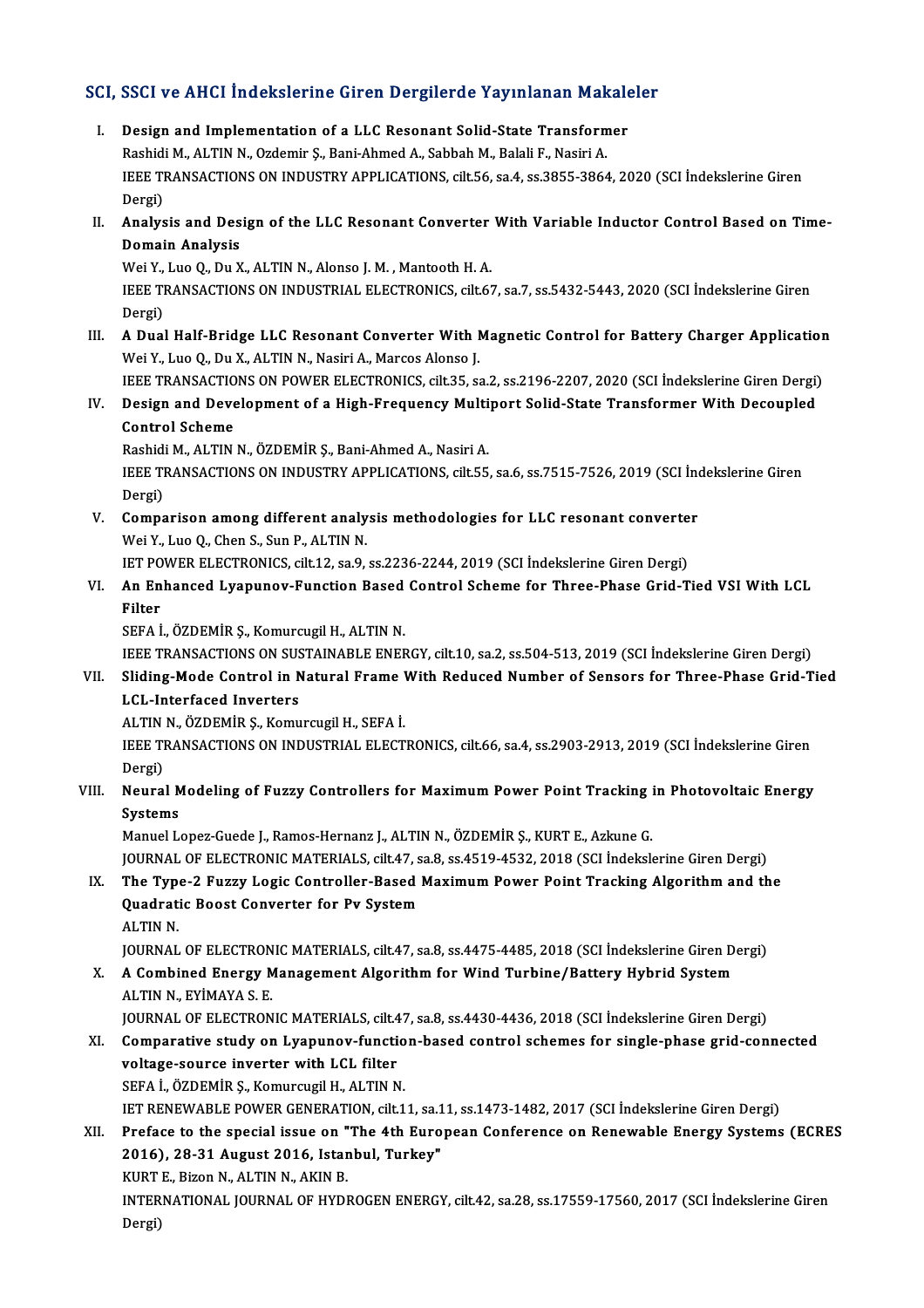# SCI, SSCI ve AHCI İndekslerine Giren Dergilerde Yayınlanan Makaleler<br>Makaleler

CI, SSCI ve AHCI Indekslerine Giren Dergilerde Yayınlanan Makale<br>I. Design and Implementation of a LLC Resonant Solid-State Transformer<br>Reshidi M. ALTIN N. Ordomir S. Bani Ahmed A. Sabbah M. Balali E. Nasiri A. I. Design and Implementation of a LLC Resonant Solid-State Transformer<br>Rashidi M., ALTIN N., Ozdemir Ş., Bani-Ahmed A., Sabbah M., Balali F., Nasiri A. Design and Implementation of a LLC Resonant Solid-State Transformer<br>Rashidi M., ALTIN N., Ozdemir Ş., Bani-Ahmed A., Sabbah M., Balali F., Nasiri A.<br>IEEE TRANSACTIONS ON INDUSTRY APPLICATIONS, cilt.56, sa.4, ss.3855-3864, Rashidi<br>IEEE TI<br>Dergi)<br>Analys IEEE TRANSACTIONS ON INDUSTRY APPLICATIONS, cilt.56, sa.4, ss.3855-3864, 2020 (SCI İndekslerine Giren<br>Dergi)<br>II. Analysis and Design of the LLC Resonant Converter With Variable Inductor Control Based on Time-<br>Demain Analys Dergi)<br>Analysis and Des<br>Domain Analysis<br>Wei Yolus Qolu Y Analysis and Design of the LLC Resonant Converter<br>Domain Analysis<br>Wei Y., Luo Q., Du X., ALTIN N., Alonso J. M. , Mantooth H. A.<br>JEEE TRANSACTIONS ON INDUSTRIAL ELECTRONICS silt 67 Domain Analysis<br>Wei Y., Luo Q., Du X., ALTIN N., Alonso J. M. , Mantooth H. A.<br>IEEE TRANSACTIONS ON INDUSTRIAL ELECTRONICS, cilt.67, sa.7, ss.5432-5443, 2020 (SCI İndekslerine Giren<br>Dergi) Wei Y.,<br>IEEE TI<br>Dergi)<br>A Dual III. A Dual Half-Bridge LLC Resonant Converter With Magnetic Control for Battery Charger Application Wei Y., Luo Q., Du X., ALTIN N., Nasiri A., Marcos Alonso J. A Dual Half-Bridge LLC Resonant Converter With Magnetic Control for Battery Charger Application<br>Wei Y., Luo Q., Du X., ALTIN N., Nasiri A., Marcos Alonso J.<br>IEEE TRANSACTIONS ON POWER ELECTRONICS, cilt.35, sa.2, ss.2196-22 Wei Y., Luo Q., Du X., ALTIN N., Nasiri A., Marcos Alonso J.<br>IEEE TRANSACTIONS ON POWER ELECTRONICS, cilt.35, sa.2, ss.2196-2207, 2020 (SCI İndekslerine Giren Dergi)<br>IV. Design and Development of a High-Frequency Multi **IEEE TRANSACTIO**<br>Design and Deve<br>Control Scheme<br><sup>Dochidi M ALTIN</sup> Design and Development of a High-Frequency Multi<br>Control Scheme<br>Rashidi M., ALTIN N., ÖZDEMİR Ş., Bani-Ahmed A., Nasiri A.<br>IEEE TRANSACTIONS ON INDUSTRY APRI ICATIONS .silt EE Control Scheme<br>Rashidi M., ALTIN N., ÖZDEMİR Ş., Bani-Ahmed A., Nasiri A.<br>IEEE TRANSACTIONS ON INDUSTRY APPLICATIONS, cilt.55, sa.6, ss.7515-7526, 2019 (SCI İndekslerine Giren<br>Dergi) Rashidi<br>IEEE TI<br>Dergi)<br>Comna IEEE TRANSACTIONS ON INDUSTRY APPLICATIONS, cilt.55, sa.6, ss.7515-7526, 2019 (SCI Ind<br>Dergi)<br>V. Comparison among different analysis methodologies for LLC resonant converter<br>Wei Y, Lue O, Chan S, Sun B, ALTIN N Dergi)<br>**Comparison among different analy<br>Wei Y., Luo Q., Chen S., Sun P., ALTIN N.**<br>JET POWER ELECTRONICS, si<sup>1+12,</sup> S2.9. Comparison among different analysis methodologies for LLC resonant converte<br>Wei Y., Luo Q., Chen S., Sun P., ALTIN N.<br>IET POWER ELECTRONICS, cilt.12, sa.9, ss.2236-2244, 2019 (SCI İndekslerine Giren Dergi)<br>An Enhanced Lyan Wei Y., Luo Q., Chen S., Sun P., ALTIN N.<br>IET POWER ELECTRONICS, cilt.12, sa.9, ss.2236-2244, 2019 (SCI İndekslerine Giren Dergi)<br>VI. An Enhanced Lyapunov-Function Based Control Scheme for Three-Phase Grid-Tied VSI Wit **IET PO<br>An En<br>Filter<br>SEEA i** An Enhanced Lyapunov-Function Based<br>Filter<br>SEFA İ., ÖZDEMİR Ş., Komurcugil H., ALTIN N.<br>JEEE TRANSACTIONS ON SUSTAINAPLE ENEL Filter<br>SEFA İ., ÖZDEMİR Ş., Komurcugil H., ALTIN N.<br>IEEE TRANSACTIONS ON SUSTAINABLE ENERGY, cilt.10, sa.2, ss.504-513, 2019 (SCI İndekslerine Giren Dergi)<br>Sliding Mode Control in Natural Erame With Bedused Number of Sansa SEFA İ., ÖZDEMİR Ş., Komurcugil H., ALTIN N.<br>IEEE TRANSACTIONS ON SUSTAINABLE ENERGY, cilt.10, sa.2, ss.504-513, 2019 (SCI İndekslerine Giren Dergi)<br>VII. Sliding-Mode Control in Natural Frame With Reduced Number of Sen **IEEE TRANSACTIONS ON SUS<br>Sliding-Mode Control in N<br>LCL-Interfaced Inverters<br>ALTIN N. ÖZDEMİR S. Komu** Sliding-Mode Control in Natural Frame <mark>V<br>LCL-Interfaced Inverters</mark><br>ALTIN N., ÖZDEMİR Ş., Komurcugil H., SEFA İ.<br>JEEE TRANSACTIONS ON INDUSTRIAL ELECT IEEE TRANSACTIONS ON INDUSTRIAL ELECTRONICS, cilt.66, sa.4, ss.2903-2913, 2019 (SCI İndekslerine Giren<br>Dergi) ALTIN<br>IEEE TI<br>Dergi)<br>Neure IEEE TRANSACTIONS ON INDUSTRIAL ELECTRONICS, cilt.66, sa.4, ss.2903-2913, 2019 (SCI İndekslerine Giren<br>Dergi)<br>VIII. Neural Modeling of Fuzzy Controllers for Maximum Power Point Tracking in Photovoltaic Energy<br>Systems Dergi)<br>Neural M<br>Systems<br>Manuel L Neural Modeling of Fuzzy Controllers for Maximum Power Point Tracking i<br>Systems<br>Manuel Lopez-Guede J., Ramos-Hernanz J., ALTIN N., ÖZDEMİR Ş., KURT E., Azkune G.<br>JOUPMAL OF ELECTRONIC MATERIALS, silt 47, sa 8, sa 4519, 452 Systems<br>Manuel Lopez-Guede J., Ramos-Hernanz J., ALTIN N., ÖZDEMİR Ş., KURT E., Azkune G.<br>JOURNAL OF ELECTRONIC MATERIALS, cilt.47, sa.8, ss.4519-4532, 2018 (SCI İndekslerine Giren Dergi) Manuel Lopez-Guede J., Ramos-Hernanz J., ALTIN N., ÖZDEMİR Ş., KURT E., Azkune G.<br>JOURNAL OF ELECTRONIC MATERIALS, cilt.47, sa.8, ss.4519-4532, 2018 (SCI İndekslerine Giren Dergi)<br>IX. The Type-2 Fuzzy Logic Controller-Base JOURNAL OF ELECTRONIC MATERIALS, cilt.47, s<br>The Type-2 Fuzzy Logic Controller-Based<br>Quadratic Boost Converter for Pv System<br>ALTIN N The Typ<br>Quadrat:<br>ALTIN N. Quadratic Boost Converter for Pv System<br>ALTIN N.<br>JOURNAL OF ELECTRONIC MATERIALS, cilt.47, sa.8, ss.4475-4485, 2018 (SCI İndekslerine Giren Dergi) ALTIN N.<br>JOURNAL OF ELECTRONIC MATERIALS, cilt.47, sa.8, ss.4475-4485, 2018 (SCI İndekslerine Giren D.<br>X. A Combined Energy Management Algorithm for Wind Turbine/Battery Hybrid System<br>ALTIN N. EVİMAYA S.E. **JOURNAL OF ELECTRON<br>A Combined Energy M<br>ALTIN N., EYİMAYA S. E.<br>JOUPMAL OF ELECTRON** A Combined Energy Management Algorithm for Wind Turbine/Battery Hybrid System<br>ALTIN N., EYİMAYA S. E.<br>JOURNAL OF ELECTRONIC MATERIALS, cilt.47, sa.8, ss.4430-4436, 2018 (SCI İndekslerine Giren Dergi)<br>Comparative study on L ALTIN N., EYİMAYA S. E.<br>JOURNAL OF ELECTRONIC MATERIALS, cilt.47, sa.8, ss.4430-4436, 2018 (SCI İndekslerine Giren Dergi)<br>XI. Comparative study on Lyapunov-function-based control schemes for single-phase grid-connected<br>vel JOURNAL OF ELECTRONIC MATERIALS, cilt.47, sa.8, ss.4430-4436, 2018 (SCI Indekslerine Giren Dergi)<br>Comparative study on Lyapunov-function-based control schemes for single-phase grid-con<br>voltage-source inverter with LCL filt Comparative study on Lyapunov-functio<br>voltage-source inverter with LCL filter<br>SEFA İ., ÖZDEMİR Ş., Komurcugil H., ALTIN N.<br>IET PENEWARLE POWER CENERATION cilt 1 voltage-source inverter with LCL filter<br>SEFA İ., ÖZDEMİR Ş., Komurcugil H., ALTIN N.<br>IET RENEWABLE POWER GENERATION, cilt.11, sa.11, ss.1473-1482, 2017 (SCI İndekslerine Giren Dergi)<br>Profase te the special issue on "The 4t SEFA İ., ÖZDEMİR Ş., Komurcugil H., ALTIN N.<br>IET RENEWABLE POWER GENERATION, cilt.11, sa.11, ss.1473-1482, 2017 (SCI İndekslerine Giren Dergi)<br>XII. Preface to the special issue on "The 4th European Conference on Renewable IET RENEWABLE POWER GENERATION, cilt11, sa.1<br>Preface to the special issue on "The 4th Euro<br>2016), 28-31 August 2016, Istanbul, Turkey"<br>KURTE, Rigon N. ALTIN N. AKIN P Preface to the special issue on "<br>2016), 28-31 August 2016, Istar<br>KURT E., Bizon N., ALTIN N., AKIN B.<br>INTERMATIONAL JOURNAL OF HYDI 2016), 28-31 August 2016, Istanbul, Turkey"<br>KURT E., Bizon N., ALTIN N., AKIN B.<br>INTERNATIONAL JOURNAL OF HYDROGEN ENERGY, cilt.42, sa.28, ss.17559-17560, 2017 (SCI İndekslerine Giren<br>Persi) KURT<br>INTER<br>Dergi)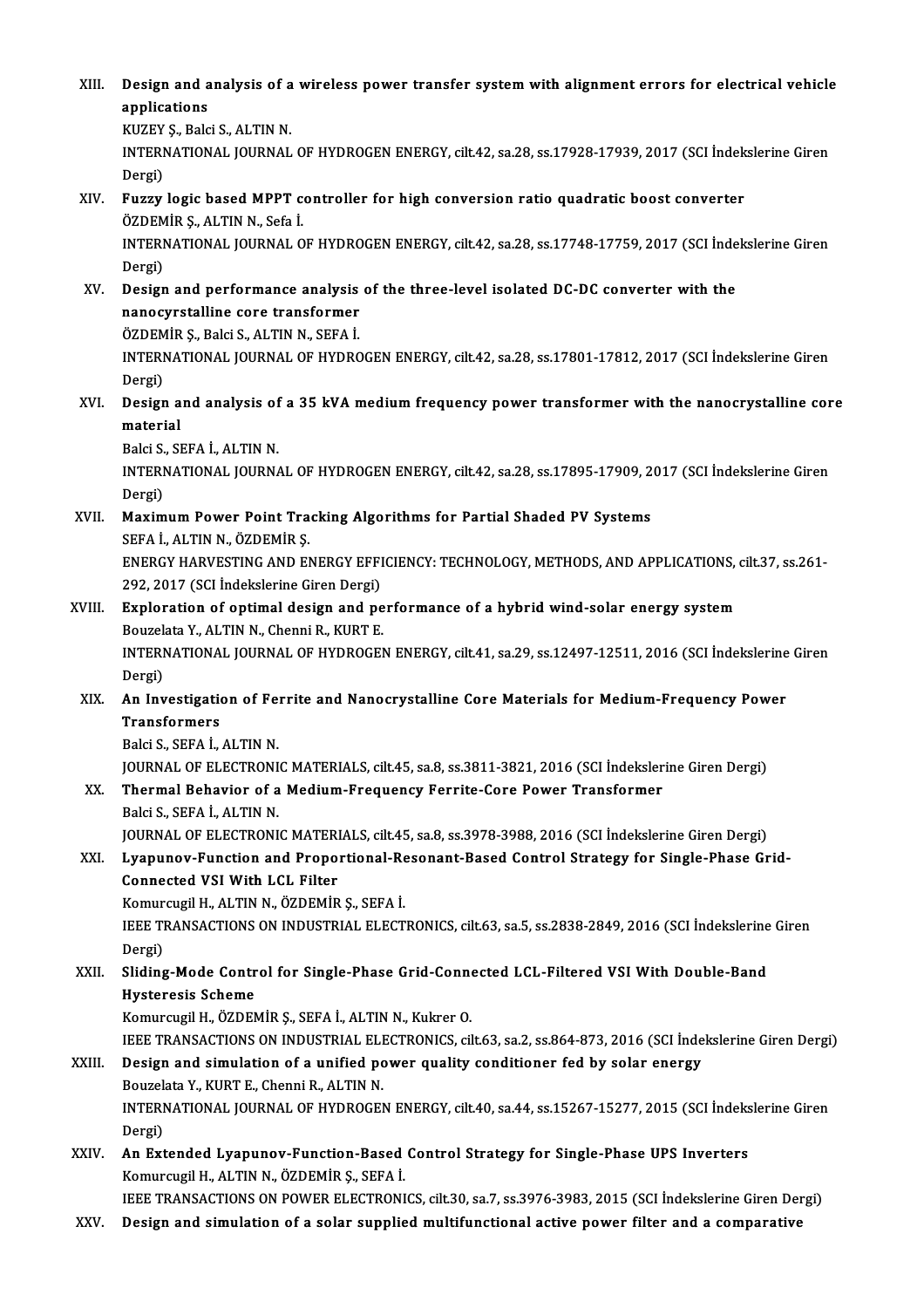XIII. Design and analysis of a wireless power transfer system with alignment errors for electrical vehicle<br>Applications **Design and a**<br>applications<br>KUZEV S. Polo **Design and analysis of a<br>applications<br>KUZEY Ş., Balci S., ALTIN N.**<br>INTERNATIONAL JOURNAL applications<br>KUZEY Ș., Balci S., ALTIN N.<br>INTERNATIONAL JOURNAL OF HYDROGEN ENERGY, cilt.42, sa.28, ss.17928-17939, 2017 (SCI İndekslerine Giren<br>Dergi) KUZEY S., Balci S., ALTIN N. XIV. Fuzzy logic based MPPT controller for high conversion ratio quadratic boost converter Dergi)<br>Fuzzy logic based MPPT c<br>ÖZDEMİR Ş., ALTIN N., Sefa İ.<br>INTERNATIONAL IQURNAL Q INTERNATIONAL JOURNAL OF HYDROGEN ENERGY, cilt.42, sa.28, ss.17748-17759, 2017 (SCI İndekslerine Giren<br>Dergi) ÖZDEM<br>INTERI<br>Dergi)<br>Design INTERNATIONAL JOURNAL OF HYDROGEN ENERGY, cilt.42, sa.28, ss.17748-17759, 2017 (SCI inde<br>Dergi)<br>XV. Design and performance analysis of the three-level isolated DC-DC converter with the<br>nanogyratelling song transformer Dergi)<br>Design and performance analysis<br>nanocyrstalline core transformer<br>ÖZDEMİR S. Roki S. ALTIN N. SEEA İ Design and performance analysis<br>nanocyrstalline core transformer<br>ÖZDEMİR Ş., Balci S., ALTIN N., SEFA İ.<br>INTERNATIONAL JOUPNAL OE HYDRC nanocyrstalline core transformer<br>ÖZDEMİR Ş., Balci S., ALTIN N., SEFA İ.<br>INTERNATIONAL JOURNAL OF HYDROGEN ENERGY, cilt.42, sa.28, ss.17801-17812, 2017 (SCI İndekslerine Giren ÖZDEM<br>INTERI<br>Dergi)<br>Design INTERNATIONAL JOURNAL OF HYDROGEN ENERGY, cilt.42, sa.28, ss.17801-17812, 2017 (SCI İndekslerine Giren<br>Dergi)<br>XVI. Design and analysis of a 35 kVA medium frequency power transformer with the nanocrystalline core<br>material Dergi)<br><mark>Design a</mark><br>material<br><sup>Polgi S. Sl</sup> Design and analysis of<br>material<br>Balci S., SEFA İ., ALTIN N.<br>INTERNATIONAL JOURN material<br>Balci S., SEFA İ., ALTIN N.<br>INTERNATIONAL JOURNAL OF HYDROGEN ENERGY, cilt.42, sa.28, ss.17895-17909, 2017 (SCI İndekslerine Giren<br>Dergi) Balci S., SEFA İ., ALTIN N. INTERNATIONAL JOURNAL OF HYDROGEN ENERGY, cilt.42, sa.28, ss.17895-17909, 2<br>Dergi)<br>XVII. Maximum Power Point Tracking Algorithms for Partial Shaded PV Systems<br>SEEA LALTIN N. ÖZDEMIR S Dergi)<br><mark>Maximum Power Point Tra</mark><br>SEFA İ., ALTIN N., ÖZDEMİR Ş.<br>ENEPCV HAPVESTINC AND EI Maximum Power Point Tracking Algorithms for Partial Shaded PV Systems<br>SEFA İ., ALTIN N., ÖZDEMİR Ş.<br>ENERGY HARVESTING AND ENERGY EFFICIENCY: TECHNOLOGY, METHODS, AND APPLICATIONS, cilt.37, ss.261-<br>292-2017 (SCL İndekslerin SEFA İ., ALTIN N., ÖZDEMİR Ş.<br>ENERGY HARVESTING AND ENERGY EFFI<br>292, 2017 (SCI İndekslerine Giren Dergi)<br>Evnlaration of antimal dagian and na ENERGY HARVESTING AND ENERGY EFFICIENCY: TECHNOLOGY, METHODS, AND APPLICATIONS,<br>292, 2017 (SCI Indekslerine Giren Dergi)<br>XVIII. Exploration of optimal design and performance of a hybrid wind-solar energy system<br>Pouralate Y 292, 2017 (SCI İndekslerine Giren Dergi)<br>Exploration of optimal design and pe<br>Bouzelata Y., ALTIN N., Chenni R., KURT E.<br>INTERNATIONAL JOURNAL OF HYDROCER INTERNATIONAL JOURNAL OF HYDROGEN ENERGY, cilt.41, sa.29, ss.12497-12511, 2016 (SCI İndekslerine Giren<br>Dergi) Bouzelata Y., ALTIN N., Chenni R., KURT E. INTERNATIONAL JOURNAL OF HYDROGEN ENERGY, cilt.41, sa.29, ss.12497-12511, 2016 (SCI İndekslerine<br>Dergi)<br>XIX. An Investigation of Ferrite and Nanocrystalline Core Materials for Medium-Frequency Power<br>Transformers Dergi)<br><mark>An Investigatie</mark><br>Transformers<br><sup>Polei S. SEEA İ</sup> **An Investigation of Fe:<br>Transformers<br>Balci S., SEFA İ., ALTIN N.**<br>JOUPMAL OF ELECTRONI Transformers<br>Balci S., SEFA İ., ALTIN N.<br>JOURNAL OF ELECTRONIC MATERIALS, cilt.45, sa.8, ss.3811-3821, 2016 (SCI İndekslerine Giren Dergi) Balci S., SEFA İ., ALTIN N.<br>JOURNAL OF ELECTRONIC MATERIALS, cilt.45, sa.8, ss.3811-3821, 2016 (SCI İndeksler<br>XX. Thermal Behavior of a Medium-Frequency Ferrite-Core Power Transformer<br>Palsi S. SEFA İ. ALTIN N. **JOURNAL OF ELECTRONI<br>Thermal Behavior of a<br>Balci S., SEFA İ., ALTIN N.**<br>JOUPNAL OF ELECTRONI Thermal Behavior of a Medium-Frequency Ferrite-Core Power Transformer<br>Balci S., SEFA İ., ALTIN N.<br>JOURNAL OF ELECTRONIC MATERIALS, cilt.45, sa.8, ss.3978-3988, 2016 (SCI İndekslerine Giren Dergi)<br>Lyanunov Eungtion and Prop Balci S., SEFA İ., ALTIN N.<br>JOURNAL OF ELECTRONIC MATERIALS, cilt.45, sa.8, ss.3978-3988, 2016 (SCI İndekslerine Giren Dergi)<br>XXI. Lyapunov-Function and Proportional-Resonant-Based Control Strategy for Single-Phase Gri JOURNAL OF ELECTRONIC MATERI<br>Lyapunov-Function and Propo:<br>Connected VSI With LCL Filter<br>Komursusil H ALTIN N. ÖZDEMİR Lyapunov-Function and Proportional-Re<br>Connected VSI With LCL Filter<br>Komurcugil H., ALTIN N., ÖZDEMİR Ş., SEFA İ.<br>IEEE TRANSACTIONS ON INDUSTRIAL ELECT Connected VSI With LCL Filter<br>Komurcugil H., ALTIN N., ÖZDEMİR Ş., SEFA İ.<br>IEEE TRANSACTIONS ON INDUSTRIAL ELECTRONICS, cilt.63, sa.5, ss.2838-2849, 2016 (SCI İndekslerine Giren Komur<br>IEEE TI<br>Dergi)<br>Sliding IEEE TRANSACTIONS ON INDUSTRIAL ELECTRONICS, cilt.63, sa.5, ss.2838-2849, 2016 (SCI İndekslerine<br>Dergi)<br>XXII. Sliding-Mode Control for Single-Phase Grid-Connected LCL-Filtered VSI With Double-Band<br>Hysteresis Schame Dergi)<br>Sliding-Mode Contr<br>Hysteresis Scheme<br>Komurgugil H. ÖZDEN Sliding-Mode Control for Single-Phase Grid-Conne<br>Hysteresis Scheme<br>Komurcugil H., ÖZDEMİR Ş., SEFA İ., ALTIN N., Kukrer O.<br>JEEE TRANSACTIONS ON INDUSTRIAL ELECTRONICS Gİ Hysteresis Scheme<br>Komurcugil H., ÖZDEMİR Ş., SEFA İ., ALTIN N., Kukrer O.<br>IEEE TRANSACTIONS ON INDUSTRIAL ELECTRONICS, cilt.63, sa.2, ss.864-873, 2016 (SCI İndekslerine Giren Dergi)<br>Design and simulation of a unified nower Komurcugil H., ÖZDEMİR Ş., SEFA İ., ALTIN N., Kukrer O.<br>IEEE TRANSACTIONS ON INDUSTRIAL ELECTRONICS, cilt.63, sa.2, ss.864-873, 2016 (SCI İnde<br>XXIII. Design and simulation of a unified power quality conditioner fed by **IEEE TRANSACTIONS ON INDUSTRIAL ELI<br>Design and simulation of a unified po<br>Bouzelata Y., KURT E., Chenni R., ALTIN N.**<br>INTERNATIONAL JOURNAL OF HYDROCE! INTERNATIONAL JOURNAL OF HYDROGEN ENERGY, cilt.40, sa.44, ss.15267-15277, 2015 (SCI İndekslerine Giren<br>Dergi) Bouzelata Y., KURT E., Chenni R., ALTIN N. INTERNATIONAL JOURNAL OF HYDROGEN ENERGY, cilt.40, sa.44, ss.15267-15277, 2015 (SCI İndeks<br>Dergi)<br>XXIV. An Extended Lyapunov-Function-Based Control Strategy for Single-Phase UPS Inverters<br>Komungual H. ALTIN N. ÖZDEMİR S. S Dergi)<br><mark>An Extended Lyapunov-Function-Based</mark><br>Komurcugil H., ALTIN N., ÖZDEMİR Ş., SEFA İ.<br>JEEE TRANSACTIONS ON ROWER ELECTRONI Komurcugil H., ALTIN N., ÖZDEMİR Ş., SEFA İ.<br>IEEE TRANSACTIONS ON POWER ELECTRONICS, cilt.30, sa.7, ss.3976-3983, 2015 (SCI İndekslerine Giren Dergi) XXV. Design and simulation of a solar suppliedmultifunctional active power filter and a comparative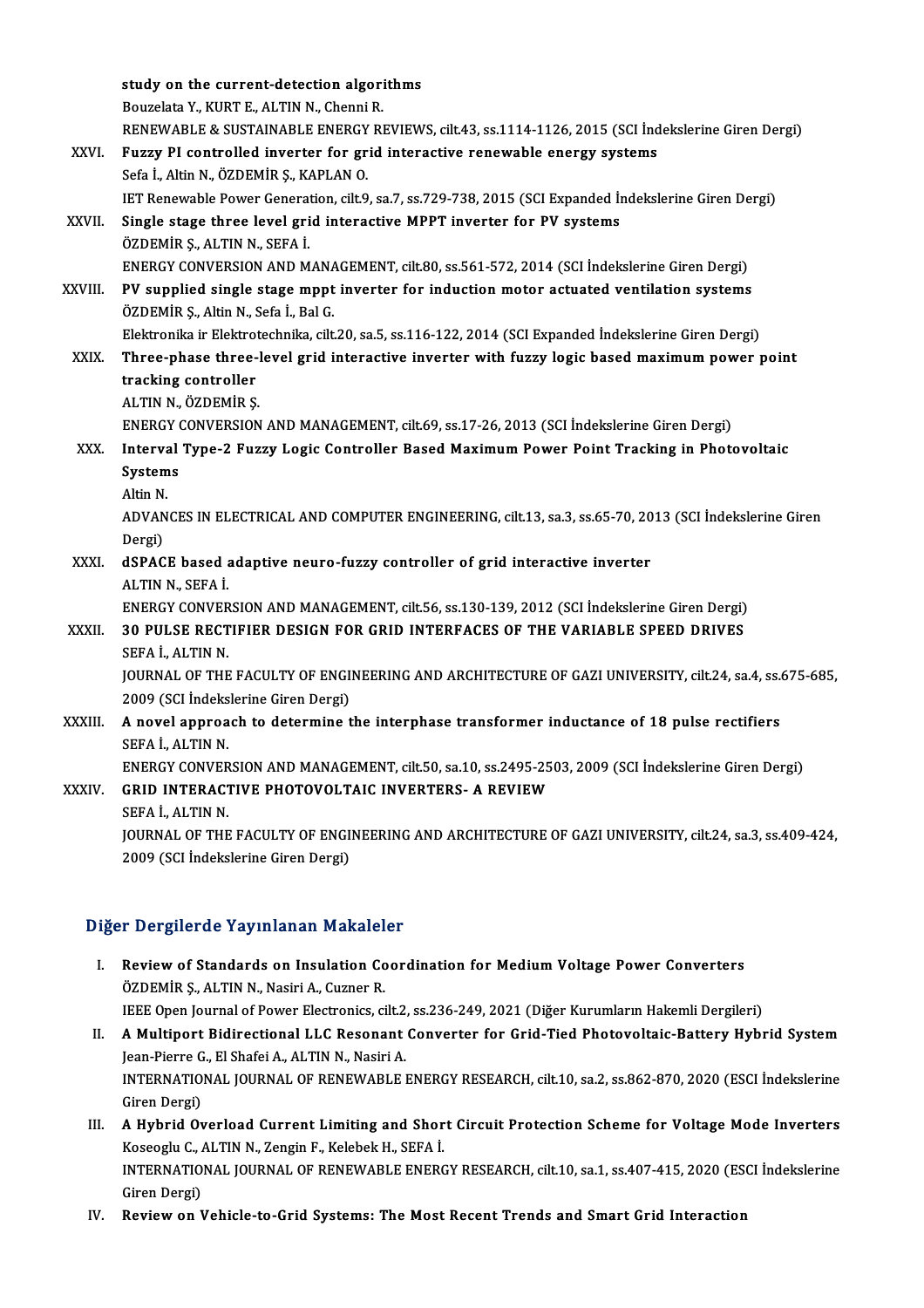|               | study on the current-detection algorithms                                                               |
|---------------|---------------------------------------------------------------------------------------------------------|
|               | Bouzelata Y., KURT E., ALTIN N., Chenni R.                                                              |
|               | RENEWABLE & SUSTAINABLE ENERGY REVIEWS, cilt.43, ss.1114-1126, 2015 (SCI Indekslerine Giren Dergi)      |
| XXVI.         | Fuzzy PI controlled inverter for grid interactive renewable energy systems                              |
|               | Sefa İ., Altin N., ÖZDEMİR Ş., KAPLAN O.                                                                |
|               | IET Renewable Power Generation, cilt.9, sa.7, ss.729-738, 2015 (SCI Expanded Indekslerine Giren Dergi)  |
| XXVII.        | Single stage three level grid interactive MPPT inverter for PV systems                                  |
|               | ÖZDEMİR Ş., ALTIN N., SEFA İ.                                                                           |
|               | ENERGY CONVERSION AND MANAGEMENT, cilt.80, ss.561-572, 2014 (SCI İndekslerine Giren Dergi)              |
| XXVIII.       | PV supplied single stage mppt inverter for induction motor actuated ventilation systems                 |
|               | ÖZDEMİR Ş., Altin N., Sefa İ., Bal G.                                                                   |
|               | Elektronika ir Elektrotechnika, cilt.20, sa.5, ss.116-122, 2014 (SCI Expanded İndekslerine Giren Dergi) |
| XXIX.         | Three-phase three-level grid interactive inverter with fuzzy logic based maximum power point            |
|               | tracking controller                                                                                     |
|               | ALTIN N., ÖZDEMİR Ş.                                                                                    |
|               | ENERGY CONVERSION AND MANAGEMENT, cilt.69, ss.17-26, 2013 (SCI Indekslerine Giren Dergi)                |
| XXX.          | Interval Type-2 Fuzzy Logic Controller Based Maximum Power Point Tracking in Photovoltaic               |
|               | Systems                                                                                                 |
|               | Altin N.                                                                                                |
|               | ADVANCES IN ELECTRICAL AND COMPUTER ENGINEERING, cilt.13, sa.3, ss.65-70, 2013 (SCI Indekslerine Giren  |
|               | Dergi)                                                                                                  |
| XXXI.         | dSPACE based adaptive neuro-fuzzy controller of grid interactive inverter                               |
|               | ALTIN N., SEFA İ.                                                                                       |
|               | ENERGY CONVERSION AND MANAGEMENT, cilt.56, ss.130-139, 2012 (SCI İndekslerine Giren Dergi)              |
| XXXII.        | 30 PULSE RECTIFIER DESIGN FOR GRID INTERFACES OF THE VARIABLE SPEED DRIVES                              |
|               | SEFA İ., ALTIN N.                                                                                       |
|               | JOURNAL OF THE FACULTY OF ENGINEERING AND ARCHITECTURE OF GAZI UNIVERSITY, cilt.24, sa.4, ss.675-685,   |
|               | 2009 (SCI İndekslerine Giren Dergi)                                                                     |
| <b>XXXIII</b> | A novel approach to determine the interphase transformer inductance of 18 pulse rectifiers              |
|               | SEFA İ., ALTIN N.                                                                                       |
|               | ENERGY CONVERSION AND MANAGEMENT, cilt.50, sa.10, ss.2495-2503, 2009 (SCI İndekslerine Giren Dergi)     |
| XXXIV.        | GRID INTERACTIVE PHOTOVOLTAIC INVERTERS- A REVIEW                                                       |
|               | SEFA İ., ALTIN N.                                                                                       |
|               | JOURNAL OF THE FACULTY OF ENGINEERING AND ARCHITECTURE OF GAZI UNIVERSITY, cilt.24, sa.3, ss.409-424,   |
|               | 2009 (SCI İndekslerine Giren Dergi)                                                                     |

### Diğer Dergilerde Yayınlanan Makaleler

- Iger Dergilerde Yayınlanan Makaleler<br>I. Review of Standards on Insulation Coordination for Medium Voltage Power Converters<br>ÖZDEMİR S. ALTIN N. Nasiri A. Cugner P Experience Fuly Internation Premation<br>
Review of Standards on Insulation Co<br>
ÖZDEMİR Ş., ALTIN N., Nasiri A., Cuzner R. ÖZDEMİR Ş., ALTIN N., Nasiri A., Cuzner R.<br>IEEE Open Journal of Power Electronics, cilt.2, ss.236-249, 2021 (Diğer Kurumların Hakemli Dergileri)
- II. A Multiport Bidirectional LLC Resonant Converter for Grid-Tied Photovoltaic-Battery Hybrid System IEEE Open Journal of Power Electronics, cilt.2,<br>A Multiport Bidirectional LLC Resonant<br>Jean-Pierre G., El Shafei A., ALTIN N., Nasiri A.<br>INTERNATIONAL JOURNAL OF RENEWARLE L A Multiport Bidirectional LLC Resonant Converter for Grid-Tied Photovoltaic-Battery Hybrid System<br>Jean-Pierre G., El Shafei A., ALTIN N., Nasiri A.<br>INTERNATIONAL JOURNAL OF RENEWABLE ENERGY RESEARCH, cilt.10, sa.2, ss.862-Jean-Pierre G<br>INTERNATIO<br>Giren Dergi)<br>A Hybrid Ox INTERNATIONAL JOURNAL OF RENEWABLE ENERGY RESEARCH, cilt.10, sa.2, ss.862-870, 2020 (ESCI İndekslerine<br>Giren Dergi)<br>III. A Hybrid Overload Current Limiting and Short Circuit Protection Scheme for Voltage Mode Inverters<br>Kes
- Giren Dergi)<br>III. A Hybrid Overload Current Limiting and Short Circuit Protection Scheme for Voltage Mode Inverters<br>Koseoglu C., ALTIN N., Zengin F., Kelebek H., SEFA İ. A Hybrid Overload Current Limiting and Short Circuit Protection Scheme for Voltage Mode Inverters<br>Koseoglu C., ALTIN N., Zengin F., Kelebek H., SEFA İ.<br>INTERNATIONAL JOURNAL OF RENEWABLE ENERGY RESEARCH, cilt.10, sa.1, ss. Koseoglu C., *I*<br>INTERNATIO<br>Giren Dergi)<br>Peview on J INTERNATIONAL JOURNAL OF RENEWABLE ENERGY RESEARCH, cilt.10, sa.1, ss.407-415, 2020 (ES<br>Giren Dergi)<br>IV. Review on Vehicle-to-Grid Systems: The Most Recent Trends and Smart Grid Interaction
-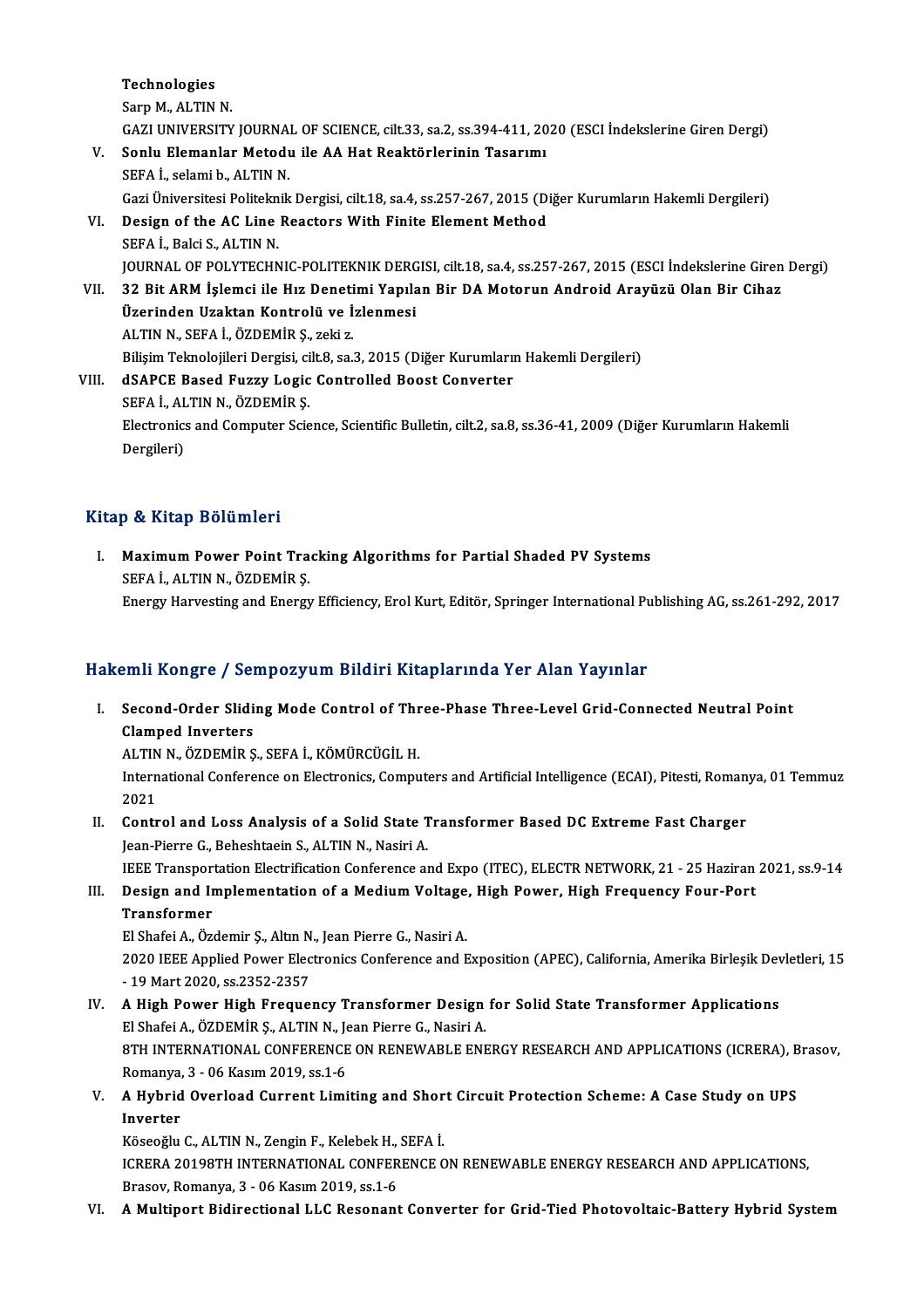Technologies Sarp M., ALTIN N. GAZIUNIVERSITYJOURNALOF SCIENCE, cilt.33, sa.2, ss.394-411,2020 (ESCI İndekslerineGirenDergi) Sarp M., ALTIN N.<br>GAZI UNIVERSITY JOURNAL OF SCIENCE, cilt.33, sa.2, ss.394-411, 20<br>V. Sonlu Elemanlar Metodu ile AA Hat Reaktörlerinin Tasarımı<br>SEEA İ. sələmi b. ALTIN N. GAZI UNIVERSITY JOURNA<br>Sonlu Elemanlar Metodu<br>SEFA İ., selami b., ALTIN N.<br>Cazi Üniversitesi Bolitelmik SEFA İ., selami b., ALTIN N.<br>Gazi Üniversitesi Politeknik Dergisi, cilt.18, sa.4, ss.257-267, 2015 (Diğer Kurumların Hakemli Dergileri) SEFA İ., selami b., ALTIN N.<br>Gazi Üniversitesi Politeknik Dergisi, cilt.18, sa.4, ss.257-267, 2015 (Di<br>VI. Design of the AC Line Reactors With Finite Element Method<br>SERA İ. Baki S. ALTIN N. Gazi Üniversitesi Politekn<br>Design of the AC Line<br>SEFA İ., Balci S., ALTIN N.<br>JOUPMAL OF POLYTECHN SEFA İ., Balci S., ALTIN N.<br>JOURNAL OF POLYTECHNIC-POLITEKNIK DERGISI, cilt.18, sa.4, ss.257-267, 2015 (ESCI İndekslerine Giren Dergi) SEFA İ., Balci S., ALTIN N.<br>JOURNAL OF POLYTECHNIC-POLITEKNIK DERGISI, cilt.18, sa.4, ss.257-267, 2015 (ESCI İndekslerine Giren<br>VII. 32 Bit ARM İşlemci ile Hız Denetimi Yapılan Bir DA Motorun Android Arayüzü Olan Bir Cihaz JOURNAL OF POLYTECHNIC-POLITEKNIK DERG<br>32 Bit ARM İşlemci ile Hız Denetimi Yapıla<br>Üzerinden Uzaktan Kontrolü ve İzlenmesi<br>ALTIN N. SEEA İ. ÖZDEMİR S. Feli 7 32 Bit ARM İşlemci ile Hız Deneti<br>Üzerinden Uzaktan Kontrolü ve İ<br>ALTIN N., SEFA İ., ÖZDEMİR Ş., zeki z.<br>Bilisim Telmelejileri Dergisi, silt 8, çe i Üzerinden Uzaktan Kontrolü ve İzlenmesi<br>ALTIN N., SEFA İ., ÖZDEMİR Ş., zeki z.<br>Bilişim Teknolojileri Dergisi, cilt.8, sa.3, 2015 (Diğer Kurumların Hakemli Dergileri) ALTIN N., SEFA İ., ÖZDEMİR Ş., zeki z.<br>Bilişim Teknolojileri Dergisi, cilt.8, sa.3, 2015 (Diğer Kurumları<br>VIII. dSAPCE Based Fuzzy Logic Controlled Boost Converter<br>SEFA İ. ALTIN N. ÖZDEMİR S Bilişim Teknolojileri Dergisi, ci<br>dSAPCE Based Fuzzy Logic<br>SEFA İ., ALTIN N., ÖZDEMİR Ş.<br>Electronice and Computer Scie

Electronics and Computer Science, Scientific Bulletin, cilt.2, sa.8, ss.36-41, 2009 (Diğer Kurumların Hakemli<br>Dergileri) SEFA İ., ALTIN N., ÖZDEMİR Ş.

#### Kitap & Kitap Bölümleri

Itap & Kitap Bölümleri<br>I. Maximum Power Point Tracking Algorithms for Partial Shaded PV Systems<br>SERA LALTIN N. ÖZDEMİR S SEFA İ., ALTIN N., ÖZDEMİR Ş.<br>SEFA İ., ALTIN N., ÖZDEMİR Ş.<br>Frarsı: Harvestins and Energi SEFA İ., ALTIN N., ÖZDEMİR Ş.<br>Energy Harvesting and Energy Efficiency, Erol Kurt, Editör, Springer International Publishing AG, ss.261-292, 2017

#### Hakemli Kongre / Sempozyum Bildiri Kitaplarında Yer Alan Yayınlar

akemli Kongre / Sempozyum Bildiri Kitaplarında Yer Alan Yayınlar<br>I. Second-Order Sliding Mode Control of Three-Phase Three-Level Grid-Connected Neutral Point<br>Clamped Inverters Second-Order Slidi<br>Clamped Inverters<br>ALTIN N. ÖZDEMİR S Second-Order Sliding Mode Control of Thr<br>Clamped Inverters<br>ALTIN N., ÖZDEMİR Ş., SEFA İ., KÖMÜRCÜGİL H.<br>International Conference en Electronics Compu

ALTIN N., ÖZDEMİR Ş., SEFA İ., KÖMÜRCÜGİL H.

Clamped Inverters<br>ALTIN N., ÖZDEMİR Ş., SEFA İ., KÖMÜRCÜGİL H.<br>International Conference on Electronics, Computers and Artificial Intelligence (ECAI), Pitesti, Romanya, 01 Temmuz<br>2021 International Conference on Electronics, Computers and Artificial Intelligence (ECAI), Pitesti, Roman 2021<br>II. Control and Loss Analysis of a Solid State Transformer Based DC Extreme Fast Charger<br>Jean Biarre C. Babashtasin

2021<br>Control and Loss Analysis of a Solid State 1<br>Jean-Pierre G., Beheshtaein S., ALTIN N., Nasiri A.<br>JEEE Transportation Electrification Conference al Jean-Pierre G., Beheshtaein S., ALTIN N., Nasiri A.<br>IEEE Transportation Electrification Conference and Expo (ITEC), ELECTR NETWORK, 21 - 25 Haziran 2021, ss.9-14

## Jean-Pierre G., Beheshtaein S., ALTIN N., Nasiri A.<br>IEEE Transportation Electrification Conference and Expo (ITEC), ELECTR NETWORK, 21 - 25 Haziran<br>III. Design and Implementation of a Medium Voltage, High Power, High F **IEEE Transpor<br>Design and In<br>Transformer**<br>El Shafoi A. Öz Design and Implementation of a Medium Voltage<br>Transformer<br>El Shafei A., Özdemir Ş., Altın N., Jean Pierre G., Nasiri A.<br>2020 IEEE Annlied Bower Electronies Conference and E

Transformer<br>El Shafei A., Özdemir Ş., Altın N., Jean Pierre G., Nasiri A.<br>2020 IEEE Applied Power Electronics Conference and Exposition (APEC), California, Amerika Birleşik Devletleri, 15<br>- 19 Mert 2020, ss 2252, 2257. El Shafei A., Özdemir Ş., Altın N., Jean Pierre G., Nasiri A.<br>2020 IEEE Applied Power Electronics Conference and Exposition (APEC), California, Amerika Birleşik Dev<br>- 19 Mart 2020, ss.2352-2357<br>IV. A High Power High Fr 2020 IEEE Applied Power Electronics Conference and Exposition (APEC), California, Amerika Birleşik Dev<br>- 19 Mart 2020, ss.2352-2357<br>IV. A High Power High Frequency Transformer Design for Solid State Transformer Application

- 19 Mart 2020, ss.2352-2357<br>A High Power High Frequency Transformer Design<br>El Shafei A., ÖZDEMİR Ş., ALTIN N., Jean Pierre G., Nasiri A.<br>9TH INTERNATIONAL CONEERENCE ON RENEWARLE ENE 8TH INTERNATIONAL CONFERENCE ON RENEWABLE ENERGY RESEARCH AND APPLICATIONS (ICRERA), Brasov,<br>Romanya, 3 - 06 Kasım 2019, ss.1-6 El Shafei A., ÖZDEMİR Ş., ALTIN N., Je<br>8TH INTERNATIONAL CONFERENCE<br>Romanya, 3 - 06 Kasım 2019, ss.1-6<br>A Hybrid Querlead Current Limi 8TH INTERNATIONAL CONFERENCE ON RENEWABLE ENERGY RESEARCH AND APPLICATIONS (ICRERA), B<br>Romanya, 3 - 06 Kasım 2019, ss.1-6<br>V. A Hybrid Overload Current Limiting and Short Circuit Protection Scheme: A Case Study on UPS<br>I
- Romanya,<br><mark>A Hybrid</mark><br>Inverter<br>Kässažlu A Hybrid Overload Current Limiting and Shor<br>Inverter<br>Köseoğlu C., ALTIN N., Zengin F., Kelebek H., SEFA İ.<br>ICRERA 20109TH INTERNATIONAL CONEERENCE C

Inverter<br>Köseoğlu C., ALTIN N., Zengin F., Kelebek H., SEFA İ.<br>ICRERA 20198TH INTERNATIONAL CONFERENCE ON RENEWABLE ENERGY RESEARCH AND APPLICATIONS,<br>Brasov, Romanya, 3 - 06 Kasım 2019, ss.1-6 Köseoğlu C., ALTIN N., Zengin F., Kelebek H.,<br>ICRERA 20198TH INTERNATIONAL CONFER<br>Brasov, Romanya, 3 - 06 Kasım 2019, ss.1-6<br>A Multinort Bidirestional LLC Besonant

#### VI. AMultiport Bidirectional LLC Resonant Converter for Grid-Tied Photovoltaic-Battery Hybrid System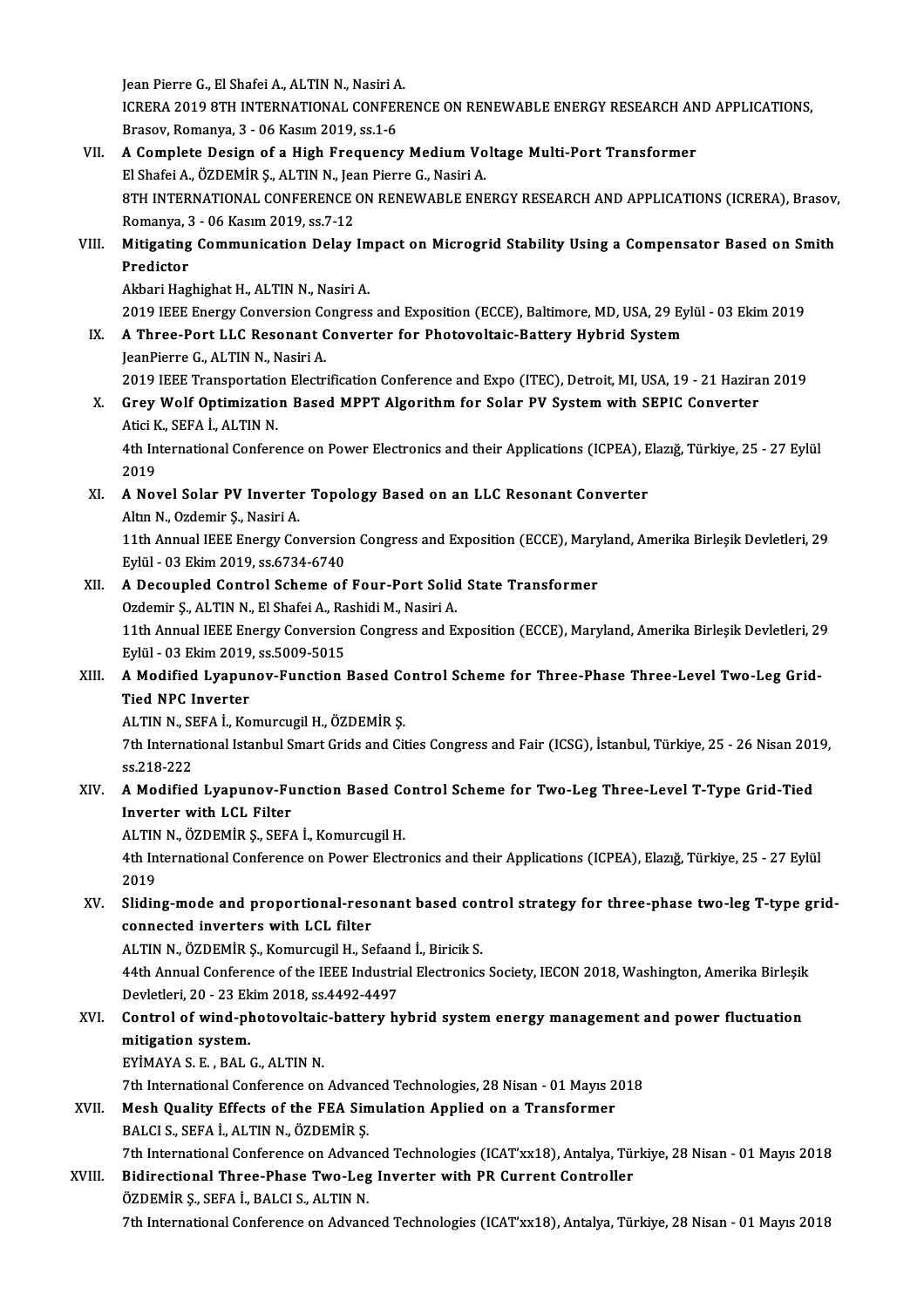Jean Pierre G., El Shafei A., ALTIN N., Nasiri A. Jean Pierre G., El Shafei A., ALTIN N., Nasiri A.<br>ICRERA 2019 8TH INTERNATIONAL CONFERENCE ON RENEWABLE ENERGY RESEARCH AND APPLICATIONS, Jean Pierre G., El Shafei A., ALTIN N., Nasiri A<br>ICRERA 2019 8TH INTERNATIONAL CONFEF<br>Brasov, Romanya, 3 - 06 Kasım 2019, ss.1-6<br>A Complete Design of a High Enequency ICRERA 2019 8TH INTERNATIONAL CONFERENCE ON RENEWABLE ENERGY RESEARCH AN<br>Brasov, Romanya, 3 - 06 Kasım 2019, ss.1-6<br>VII. A Complete Design of a High Frequency Medium Voltage Multi-Port Transformer

- Brasov, Romanya, 3 06 Kasım 2019, ss.1-6<br>A Complete Design of a High Frequency Medium Vo<br>El Shafei A., ÖZDEMİR Ş., ALTIN N., Jean Pierre G., Nasiri A.<br>9TH INTERNATIONAL CONEERENCE ON RENEWARLE ENE A Complete Design of a High Frequency Medium Voltage Multi-Port Transformer<br>El Shafei A., ÖZDEMİR Ş., ALTIN N., Jean Pierre G., Nasiri A.<br>8TH INTERNATIONAL CONFERENCE ON RENEWABLE ENERGY RESEARCH AND APPLICATIONS (ICRERA), El Shafei A., ÖZDEMİR Ş., ALTIN N., Jea<br>8TH INTERNATIONAL CONFERENCE (<br>Romanya, 3 - 06 Kasım 2019, ss.7-12<br>Mitigating Communication Dolay 8TH INTERNATIONAL CONFERENCE ON RENEWABLE ENERGY RESEARCH AND APPLICATIONS (ICRERA), Brasov,<br>Romanya, 3 - 06 Kasım 2019, ss.7-12<br>VIII. Mitigating Communication Delay Impact on Microgrid Stability Using a Compensator Based
- Romanya, 3<br><mark>Mitigating</mark><br>Predictor<br>Akbari Hag Mitigating Communication Delay Impact on Microgrid Stability Using a Compensator Based on Smith<br>Predictor<br>Akbari Haghighat H., ALTIN N., Nasiri A. Predictor<br>Akbari Haghighat H., ALTIN N., Nasiri A.<br>2019 IEEE Energy Conversion Congress and Exposition (ECCE), Baltimore, MD, USA, 29 Eylül - 03 Ekim 2019<br>A.Three Bert LLC Besenant Converter for Photoveltais Bettery Hybrid

IX. A Three-Port LLC Resonant Converter for Photovoltaic-Battery Hybrid System<br>JeanPierre G., ALTIN N., Nasiri A. 2019 IEEE Energy Conversion Co<br>**A Three-Port LLC Resonant C**<br>JeanPierre G., ALTIN N., Nasiri A.<br>2010 IEEE Transportation Electr A Three-Port LLC Resonant Converter for Photovoltaic-Battery Hybrid System<br>JeanPierre G., ALTIN N., Nasiri A.<br>2019 IEEE Transportation Electrification Conference and Expo (ITEC), Detroit, MI, USA, 19 - 21 Haziran 2019<br>Croy

JeanPierre G., ALTIN N., Nasiri A.<br>2019 IEEE Transportation Electrification Conference and Expo (ITEC), Detroit, MI, USA, 19 - 21 Hazira<br>X. Grey Wolf Optimization Based MPPT Algorithm for Solar PV System with SEPIC Convert 2019 IEEE Transportatio<br>Grey Wolf Optimizatio<br>Atici K., SEFA İ., ALTIN N.<br>4th International Confore

Grey Wolf Optimization Based MPPT Algorithm for Solar PV System with SEPIC Converter<br>Atici K., SEFA İ., ALTIN N.<br>4th International Conference on Power Electronics and their Applications (ICPEA), Elazığ, Türkiye, 25 - 27 Ey Atici K<br>4th In<br>2019 4th International Conference on Power Electronics and their Applications (ICPEA), E<br>2019<br>XI. A Novel Solar PV Inverter Topology Based on an LLC Resonant Converter

# 2019<br>**A Novel Solar PV Inverte**r<br>Altın N., Ozdemir Ş., Nasiri A.<br>11th Annual IEEE Energy Co

A Novel Solar PV Inverter Topology Based on an LLC Resonant Converter<br>Altın N., Ozdemir Ş., Nasiri A.<br>11th Annual IEEE Energy Conversion Congress and Exposition (ECCE), Maryland, Amerika Birleşik Devletleri, 29<br>Fylül - 03 Altın N., Ozdemir Ş., Nasiri A.<br>11th Annual IEEE Energy Conversio:<br>Eylül - 03 Ekim 2019, ss.6734-6740<br>A Deseunled Control Schame of 11th Annual IEEE Energy Conversion Congress and Exposition (ECCE), Mary<br>Eylül - 03 Ekim 2019, ss.6734-6740<br>XII. A Decoupled Control Scheme of Four-Port Solid State Transformer<br>Ordomir S. ALTIN N. El Shafej A. Bashidi M. Na Eylül - 03 Ekim 2019, ss.6734-6740<br>A Decoupled Control Scheme of Four-Port Solid<br>Ozdemir Ş., ALTIN N., El Shafei A., Rashidi M., Nasiri A.<br>11th Annual IEEE Energy Conversion Congress and E

Ozdemir Ș., ALTIN N., El Shafei A., Rashidi M., Nasiri A.

11th Annual IEEE Energy Conversion Congress and Exposition (ECCE), Maryland, Amerika Birleşik Devletleri, 29<br>Eylül - 03 Ekim 2019, ss.5009-5015 11th Annual IEEE Energy Conversion Congress and Exposition (ECCE), Maryland, Amerika Birleşik Devletleri, 2<br>Eylül - 03 Ekim 2019, ss.5009-5015<br>XIII. A Modified Lyapunov-Function Based Control Scheme for Three-Phase Thr

# Eylül - 03 Ekim 2019<br>A Modified Lyapur<br>Tied NPC Inverter<br>ALTIN N SEEA LK2 A Modified Lyapunov-Function Based Contract Control Control<br>Tied NPC Inverter<br>ALTIN N., SEFA İ., Komurcugil H., ÖZDEMİR Ş.<br>7th International Istanbul Smart Crids and Cit

ALTIN N., SEFA İ., Komurcugil H., ÖZDEMİR Ş.

Tied NPC Inverter<br>ALTIN N., SEFA İ., Komurcugil H., ÖZDEMİR Ş.<br>7th International Istanbul Smart Grids and Cities Congress and Fair (ICSG), İstanbul, Türkiye, 25 - 26 Nisan 2019,<br>ss.218-222 7th International Istanbul Smart Grids and Cities Congress and Fair (ICSG), İstanbul, Türkiye, 25 - 26 Nisan 201<br>1958–222<br>XIV. A Modified Lyapunov-Function Based Control Scheme for Two-Leg Three-Level T-Type Grid-Tied<br>1958

# SS.218-222<br>A Modified Lyapunov-Fu<br>Inverter with LCL Filter<br>ALTIN N. ÖZDEMIR S. SER A Modified Lyapunov-Function Based Converter with LCL Filter<br>ALTIN N., ÖZDEMİR Ş., SEFA İ., Komurcugil H.<br>Ath International Conference en Bewer Flectr

Inverter with LCL Filter<br>ALTIN N., ÖZDEMİR Ş., SEFA İ., Komurcugil H.<br>4th International Conference on Power Electronics and their Applications (ICPEA), Elazığ, Türkiye, 25 - 27 Eylül ALTIN<br>4th In<br>2019<br>Slidin 4th International Conference on Power Electronics and their Applications (ICPEA), Elazığ, Türkiye, 25 - 27 Eylül<br>2019<br>XV. Sliding-mode and proportional-resonant based control strategy for three-phase two-leg T-type grid-<br>2

# 2019<br>Sliding-mode and proportional-reso<br>connected inverters with LCL filter<br>ALTIN N. ÖZDEMİR S. Komurquril H. So Sliding-mode and proportional-resonant based con<br>connected inverters with LCL filter<br>ALTIN N., ÖZDEMİR Ş., Komurcugil H., Sefaand İ., Biricik S.<br>44th Annual Conference of the IEEE Industrial Electronics

ALTIN N., ÖZDEMİR Ş., Komurcugil H., Sefaand İ., Biricik S.

connected inverters with LCL filter<br>ALTIN N., ÖZDEMİR Ş., Komurcugil H., Sefaand İ., Biricik S.<br>44th Annual Conference of the IEEE Industrial Electronics Society, IECON 2018, Washington, Amerika Birleşik 44th Annual Conference of the IEEE Industrial Electronics Society, IECON 2018, Washington, Amerika Birleşik<br>Devletleri, 20 - 23 Ekim 2018, ss.4492-4497<br>XVI. Control of wind-photovoltaic-battery hybrid system energy managem

## Devletleri, 20 - 23 Ekim 2018, ss.4492-4497<br>Control of wind-photovoltaic-battery h<br>mitigation system.<br>EYİMAYA S. E., BAL G., ALTIN N. Control of wind-photovoltaic<br>mitigation system.<br>EYİMAYA S. E. , BAL G., ALTIN N.<br>7th International Conference on mitigation system.<br>EYİMAYA S. E. , BAL G., ALTIN N.<br>7th International Conference on Advanced Technologies, 28 Nisan - 01 Mayıs 2018<br>Mesh Quality Effects of the EEA Simulation Annlied on a Transformer.

7th International Conference on Advance<br>Mesh Quality Effects of the FEA Sin<br>BALCI S., SEFA İ., ALTIN N., ÖZDEMİR Ş.

## XVII. Mesh Quality Effects of the FEA Simulation Applied on a Transformer BALCI S., SEFA I., ALTIN N., ÖZDEMIR S.

Mesh Quality Effects of the FEA Simulation Applied on a Transformer<br>BALCI S., SEFA İ., ALTIN N., ÖZDEMİR Ş.<br>7th International Conference on Advanced Technologies (ICAT'xx18), Antalya, Türkiye, 28 Nisan - 01 Mayıs 2018<br>Bidi

### BALCI S., SEFA İ., ALTIN N., ÖZDEMİR Ş.<br>7th International Conference on Advanced Technologies (ICAT'xx18), Antalya, Tür<br>XVIII. Bidirectional Three-Phase Two-Leg Inverter with PR Current Controller<br>ÖZDEMİR S. SERA İ. PALCI 7th International Conference on Advand<br>Bidirectional Three-Phase Two-Leg<br>ÖZDEMİR Ş., SEFA İ., BALCI S., ALTIN N.<br>7th International Conference on Advanc Bidirectional Three-Phase Two-Leg Inverter with PR Current Controller<br>ÖZDEMİR Ş., SEFA İ., BALCI S., ALTIN N.<br>7th International Conference on Advanced Technologies (ICAT'xx18), Antalya, Türkiye, 28 Nisan - 01 Mayıs 2018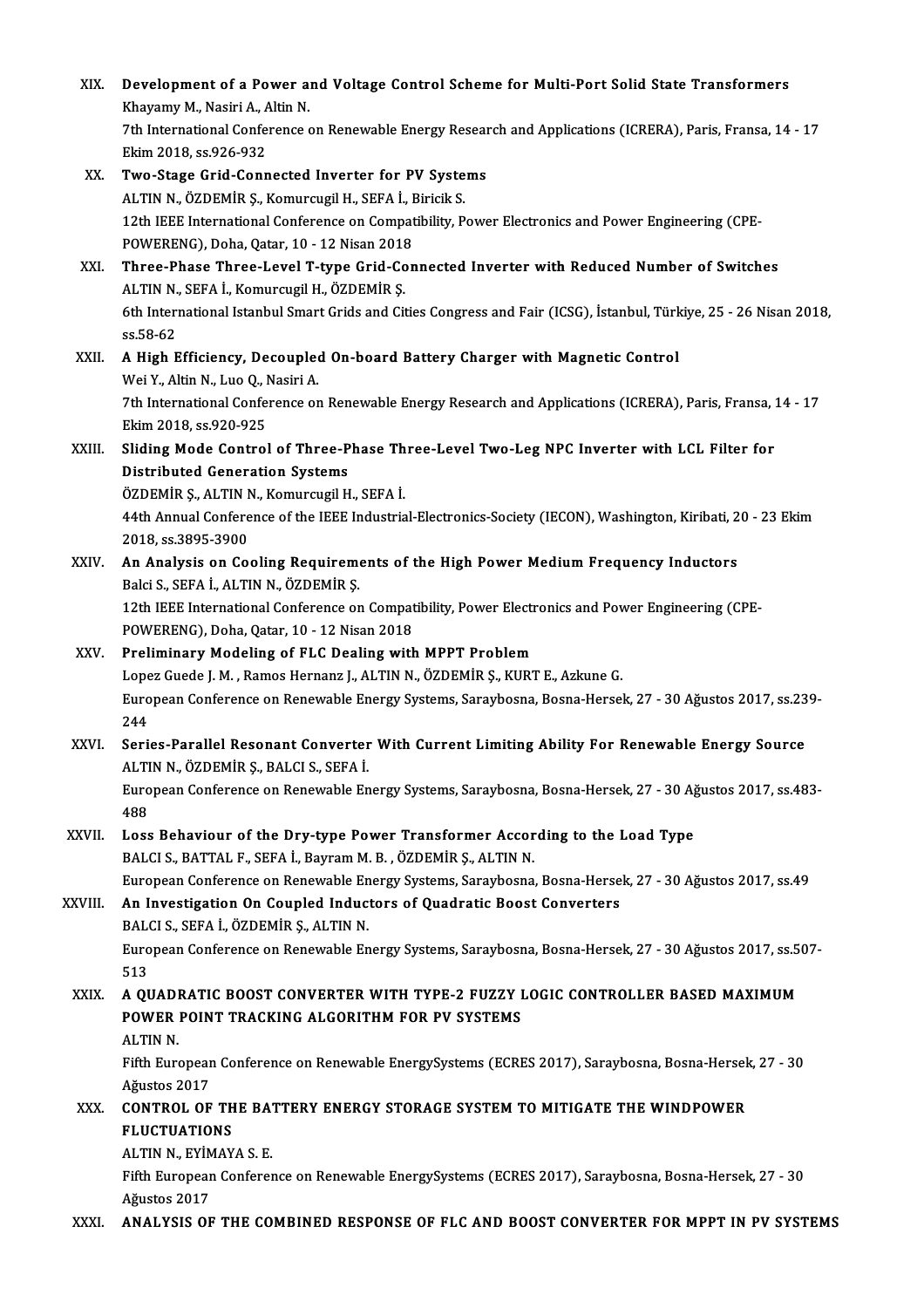| XIX.    | Development of a Power and Voltage Control Scheme for Multi-Port Solid State Transformers<br>Khayamy M., Nasiri A., Altin N.                     |
|---------|--------------------------------------------------------------------------------------------------------------------------------------------------|
|         | 7th International Conference on Renewable Energy Research and Applications (ICRERA), Paris, Fransa, 14 - 17<br>Ekim 2018, ss 926-932             |
| XX.     | Two-Stage Grid-Connected Inverter for PV Systems                                                                                                 |
|         | ALTIN N., ÖZDEMİR Ş., Komurcugil H., SEFA İ., Biricik S.                                                                                         |
|         | 12th IEEE International Conference on Compatibility, Power Electronics and Power Engineering (CPE-<br>POWERENG), Doha, Qatar, 10 - 12 Nisan 2018 |
| XXI.    | Three-Phase Three-Level T-type Grid-Connected Inverter with Reduced Number of Switches<br>ALTIN N., SEFA İ., Komurcugil H., ÖZDEMİR Ş.           |
|         | 6th International Istanbul Smart Grids and Cities Congress and Fair (ICSG), İstanbul, Türkiye, 25 - 26 Nisan 2018,                               |
| XXII.   | ss 58-62<br>A High Efficiency, Decoupled On-board Battery Charger with Magnetic Control                                                          |
|         | Wei Y., Altin N., Luo Q., Nasiri A.                                                                                                              |
|         | 7th International Conference on Renewable Energy Research and Applications (ICRERA), Paris, Fransa, 14 - 17<br>Ekim 2018, ss 920-925             |
| XXIII.  | Sliding Mode Control of Three-Phase Three-Level Two-Leg NPC Inverter with LCL Filter for<br><b>Distributed Generation Systems</b>                |
|         | ÖZDEMİR Ş., ALTIN N., Komurcugil H., SEFA İ.                                                                                                     |
|         | 44th Annual Conference of the IEEE Industrial-Electronics-Society (IECON), Washington, Kiribati, 20 - 23 Ekim<br>2018, ss.3895-3900              |
| XXIV.   | An Analysis on Cooling Requirements of the High Power Medium Frequency Inductors<br>Balci S., SEFA İ., ALTIN N., ÖZDEMİR Ş.                      |
|         | 12th IEEE International Conference on Compatibility, Power Electronics and Power Engineering (CPE-                                               |
|         | POWERENG), Doha, Qatar, 10 - 12 Nisan 2018                                                                                                       |
| XXV.    | Preliminary Modeling of FLC Dealing with MPPT Problem                                                                                            |
|         | Lopez Guede J. M., Ramos Hernanz J., ALTIN N., ÖZDEMİR Ş., KURT E., Azkune G.                                                                    |
|         | European Conference on Renewable Energy Systems, Saraybosna, Bosna-Hersek, 27 - 30 Ağustos 2017, ss.239-<br>244                                  |
| XXVI.   | Series-Parallel Resonant Converter With Current Limiting Ability For Renewable Energy Source<br>ALTIN N., ÖZDEMİR Ş., BALCI S., SEFA İ.          |
|         | European Conference on Renewable Energy Systems, Saraybosna, Bosna-Hersek, 27 - 30 Ağustos 2017, ss.483-<br>488                                  |
| XXVII.  | Loss Behaviour of the Dry-type Power Transformer According to the Load Type<br>BALCI S., BATTAL F., SEFA İ., Bayram M. B., ÖZDEMİR Ş., ALTIN N.  |
|         | European Conference on Renewable Energy Systems, Saraybosna, Bosna-Hersek, 27 - 30 Ağustos 2017, ss.49                                           |
| XXVIII. | An Investigation On Coupled Inductors of Quadratic Boost Converters<br>BALCI S., SEFA İ., ÖZDEMİR Ş., ALTIN N.                                   |
|         | European Conference on Renewable Energy Systems, Saraybosna, Bosna-Hersek, 27 - 30 Ağustos 2017, ss.507-<br>513                                  |
| XXIX.   | A QUADRATIC BOOST CONVERTER WITH TYPE-2 FUZZY LOGIC CONTROLLER BASED MAXIMUM                                                                     |
|         | POWER POINT TRACKING ALGORITHM FOR PV SYSTEMS<br>ALTIN N.                                                                                        |
|         | Fifth European Conference on Renewable EnergySystems (ECRES 2017), Saraybosna, Bosna-Hersek, 27 - 30                                             |
| XXX.    | Ağustos 2017<br>CONTROL OF THE BATTERY ENERGY STORAGE SYSTEM TO MITIGATE THE WINDPOWER                                                           |
|         | <b>FLUCTUATIONS</b>                                                                                                                              |
|         | ALTIN N., EYİMAYA S. E.                                                                                                                          |
|         | Fifth European Conference on Renewable EnergySystems (ECRES 2017), Saraybosna, Bosna-Hersek, 27 - 30<br>Ağustos 2017                             |
| XXXI.   | ANALYSIS OF THE COMBINED RESPONSE OF FLC AND BOOST CONVERTER FOR MPPT IN PV SYSTEMS                                                              |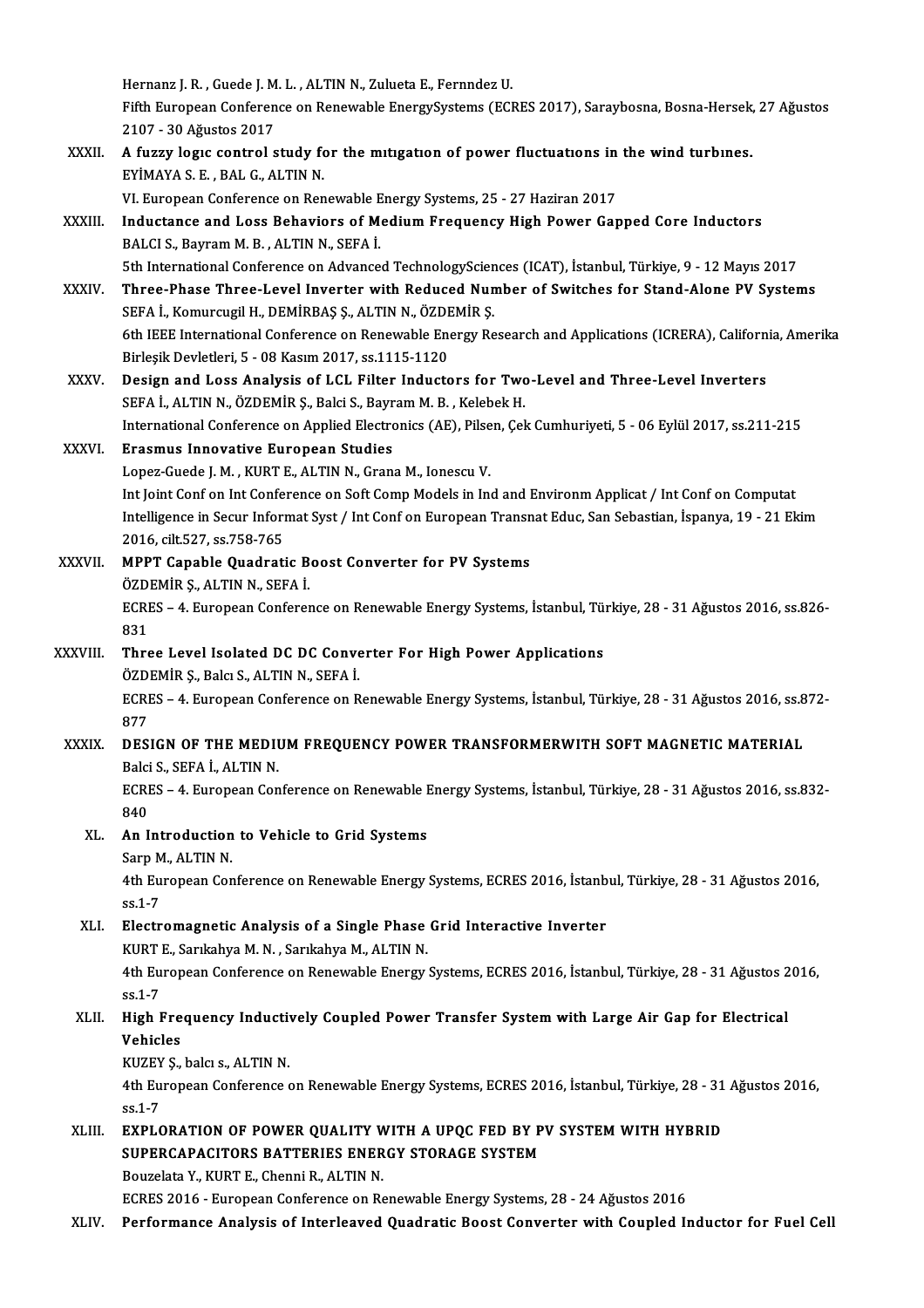Hernanz J. R. , Guede J. M. L. , ALTIN N., Zulueta E., Fernndez U.<br>Eifth Eunonean Conforance en Beneurble EnergySystems (ECI

Fifth European Conference on Renewable EnergySystems (ECRES 2017), Saraybosna, Bosna-Hersek, 27 Ağustos<br>2107 - 30 Ağustos 2017 Hernanz J. R. , Guede J. M<br>Fifth European Conferen<br>2107 - 30 Ağustos 2017<br>A fuggy logys sontrol s Fifth European Conference on Renewable EnergySystems (ECRES 2017), Saraybosna, Bosna-Hersek,<br>2107 - 30 Ağustos 2017<br>XXXII. A fuzzy logic control study for the mitigation of power fluctuations in the wind turbines.

2107 - 30 Ağustos 2017<br>A fuzzy logic control study fo<br>EYİMAYA S. E. , BAL G., ALTIN N.<br>VI European Conference en Ben A fuzzy logic control study for the mitigation of power fluctuations in<br>EYIMAYA S. E. , BAL G., ALTIN N.<br>VI. European Conference on Renewable Energy Systems, 25 - 27 Haziran 2017<br>Industance and Loss Babayiors of Modium Exe

EYİMAYA S. E. , BAL G., ALTIN N.<br>VI. European Conference on Renewable Energy Systems, 25 - 27 Haziran 2017<br>XXXIII. Inductance and Loss Behaviors of Medium Frequency High Power Gapped Core Inductors<br>RALCIS Bayram M. B. VI. European Conference on Renewable E<br>Inductance and Loss Behaviors of M<br>BALCI S., Bayram M. B. , ALTIN N., SEFA İ.<br>Eth International Conference on Advance 5th InternationalConference onAdvancedTechnologySciences (ICAT), İstanbul,Türkiye,9 -12Mayıs2017 BALCI S., Bayram M. B. , ALTIN N., SEFA İ.<br>5th International Conference on Advanced TechnologySciences (ICAT), İstanbul, Türkiye, 9 - 12 Mayıs 2017<br>XXXIV. Three-Phase Three-Level Inverter with Reduced Number of Switche

- 5th International Conference on Advanced TechnologyScien<br>Three-Phase Three-Level Inverter with Reduced Nun<br>SEFA İ., Komurcugil H., DEMİRBAŞ Ş., ALTIN N., ÖZDEMİR Ş.<br>6th IEEE International Conference on Benevyable Energy Be Three-Phase Three-Level Inverter with Reduced Number of Switches for Stand-Alone PV Systems<br>SEFA İ., Komurcugil H., DEMİRBAŞ Ş., ALTIN N., ÖZDEMİR Ş.<br>6th IEEE International Conference on Renewable Energy Research and Appli SEFA İ., Komurcugil H., DEMİRBAŞ Ş., ALTIN N., ÖZDEMİR Ş.<br>6th IEEE International Conference on Renewable Energy Research and Applications (ICRERA), California, Amerika<br>Birleşik Devletleri, 5 - 08 Kasım 2017, ss.1115-1120 6th IEEE International Conference on Renewable Energy Research and Applications (ICRERA), Californ<br>Birleşik Devletleri, 5 - 08 Kasım 2017, ss.1115-1120<br>XXXV. Design and Loss Analysis of LCL Filter Inductors for Two-Level a
- Birleşik Devletleri, 5 08 Kasım 2017, ss.1115-1120<br>Design and Loss Analysis of LCL Filter Inductors for Two<br>SEFA İ., ALTIN N., ÖZDEMİR Ş., Balci S., Bayram M. B. , Kelebek H.<br>International Conference on Analied Electroni Design and Loss Analysis of LCL Filter Inductors for Two-Level and Three-Level Inverters<br>SEFA İ., ALTIN N., ÖZDEMİR Ş., Balci S., Bayram M. B. , Kelebek H.<br>International Conference on Applied Electronics (AE), Pilsen, Çek SEFA İ., ALTIN N., ÖZDEMİR Ş., Balci S., Bayram M. B. , Kelebek H.<br>International Conference on Applied Electronics (AE), Pilsen, Çel<br>XXXVI. Erasmus Innovative European Studies<br>Lopez-Guede J. M. , KURT E., ALTIN N., Grana M International Conference on Applied Electronics (AE), Pilsen, Çek Cumhuriyeti, 5 - 06 Eylül 2017, ss.211-215

Int Joint Conf on Int Conference on Soft Comp Models in Ind and Environm Applicat / Int Conf on Computat Lopez-Guede J. M. , KURT E., ALTIN N., Grana M., Ionescu V.<br>Int Joint Conf on Int Conference on Soft Comp Models in Ind and Environm Applicat / Int Conf on Computat<br>Intelligence in Secur Informat Syst / Int Conf on Europea Int Joint Conf on Int Confer<br>Intelligence in Secur Inform<br>2016, cilt.527, ss.758-765<br>MBBT Canable Quadrati Intelligence in Secur Informat Syst / Int Conf on European Transn<br>2016, cilt.527, ss.758-765<br>XXXVII. MPPT Capable Quadratic Boost Converter for PV Systems<br>ÖZDEMIR S. ALTIN N. SERA İ

## 2016, cilt.527, ss.758-765<br>MPPT Capable Quadratic Boost Converter for PV Systems<br>ÖZDEMİR Ş., ALTIN N., SEFA İ. MPPT Capable Quadratic Boost Converter for PV Systems<br>ÖZDEMİR Ş., ALTIN N., SEFA İ.<br>ECRES – 4. European Conference on Renewable Energy Systems, İstanbul, Türkiye, 28 - 31 Ağustos 2016, ss.826-<br>921 ÖZDI<br>ECRI<br>831<br>Thre

ECRES – 4. European Conference on Renewable Energy Systems, İstanbul, Tü:<br>831<br>XXXVIII. Three Level Isolated DC DC Converter For High Power Applications<br>ÖZDEMİR S. Roku S. ALTIN N. SERA İ

# 831<br>Three Level Isolated DC DC Conve<br>ÖZDEMİR Ş., Balcı S., ALTIN N., SEFA İ.<br>FCRES. ...A. Europeen Conference en B

Three Level Isolated DC DC Converter For High Power Applications<br>ÖZDEMİR Ş., Balcı S., ALTIN N., SEFA İ.<br>ECRES – 4. European Conference on Renewable Energy Systems, İstanbul, Türkiye, 28 - 31 Ağustos 2016, ss.872-<br>977 ÖZDEMİR Ş., Balcı S., ALTIN N., SEFA İ.<br>ECRES – 4. European Conference on R<br>877 ECRES – 4. European Conference on Renewable Energy Systems, İstanbul, Türkiye, 28 - 31 Ağustos 2016, ss.8<br>877<br>XXXIX. DESIGN OF THE MEDIUM FREQUENCY POWER TRANSFORMERWITH SOFT MAGNETIC MATERIAL

## DESIGN OF THE MEDIUM FREQUENCY POWER TRANSFORMERWITH SOFT MAGNETIC MATERIAL Balci S., SEFA İ., ALTIN N. DESIGN OF THE MEDIUM FREQUENCY POWER TRANSFORMERWITH SOFT MAGNETIC MATERIAL<br>Balci S., SEFA İ., ALTIN N.<br>ECRES – 4. European Conference on Renewable Energy Systems, İstanbul, Türkiye, 28 - 31 Ağustos 2016, ss.832-<br>840

Balci<br>ECRI<br>840<br>An L ECRES – 4. European Conference on Renewable I<br>840<br>XL. An Introduction to Vehicle to Grid Systems<br>Soup M, ALTIN N

# 840<br><mark>An Introduction</mark><br>Sarp M., ALTIN N.<br>4th Euronean Car

Sarp M., ALTIN N.

4th European Conference on Renewable Energy Systems, ECRES 2016, İstanbul, Türkiye, 28 - 31 Ağustos 2016, ss.1-7 4th European Conference on Renewable Energy Systems, ECRES 2016, Istanb<br>ss.1-7<br>XLI. Electromagnetic Analysis of a Single Phase Grid Interactive Inverter<br> $V^{I1DTE}$  Sarikabya M N. Sarikabya M ALTIN N.

# ss.1-7<br>Electromagnetic Analysis of a Single Phase<br>KURT E., Sarıkahya M. N. , Sarıkahya M., ALTIN N.<br>4th Euronean Conference en Beneurble Energy

KURT E., Sarıkahya M. N., Sarıkahya M., ALTIN N.

4th European Conference on Renewable Energy Systems, ECRES 2016, İstanbul, Türkiye, 28 - 31 Ağustos 2016, ss.1-7 4th European Conference on Renewable Energy Systems, ECRES 2016, İstanbul, Türkiye, 28 - 31 Ağustos 2<br>ss.1-7<br>XLII. High Frequency Inductively Coupled Power Transfer System with Large Air Gap for Electrical<br>Vehicles

# ss.1-7<br>High Fre<br>Vehicles<br><sup>VUZEV S</sup> High Frequency Inductiv<br>Vehicles<br>KUZEY Ş., balcı s., ALTIN N.<br>4th Euroneen Conference 4

Vehicles<br>KUZEY Ş., balcı s., ALTIN N.<br>4th European Conference on Renewable Energy Systems, ECRES 2016, İstanbul, Türkiye, 28 - 31 Ağustos 2016, KUZEY<br>4th Eu<br>ss.1-7<br>EVDL C 4th European Conference on Renewable Energy Systems, ECRES 2016, İstanbul, Türkiye, 28 - 31<br>SS.1-7<br>XLIII. EXPLORATION OF POWER QUALITY WITH A UPQC FED BY PV SYSTEM WITH HYBRID

ss.1-7<br>EXPLORATION OF POWER QUALITY WITH A UPQC FED BY P<br>SUPERCAPACITORS BATTERIES ENERGY STORAGE SYSTEM<br>Bouzelth Y, KURT E, Channi B, ALTIN N EXPLORATION OF POWER QUALITY W<br>SUPERCAPACITORS BATTERIES ENER<br>Bouzelata Y., KURT E., Chenni R., ALTIN N. SUPERCAPACITORS BATTERIES ENERGY STORAGE SYSTEM<br>Bouzelata Y., KURT E., Chenni R., ALTIN N.<br>ECRES 2016 - European Conference on Renewable Energy Systems, 28 - 24 Ağustos 2016

XLIV. Performance Analysis of Interleaved Quadratic Boost Converter with Coupled Inductor for Fuel Cel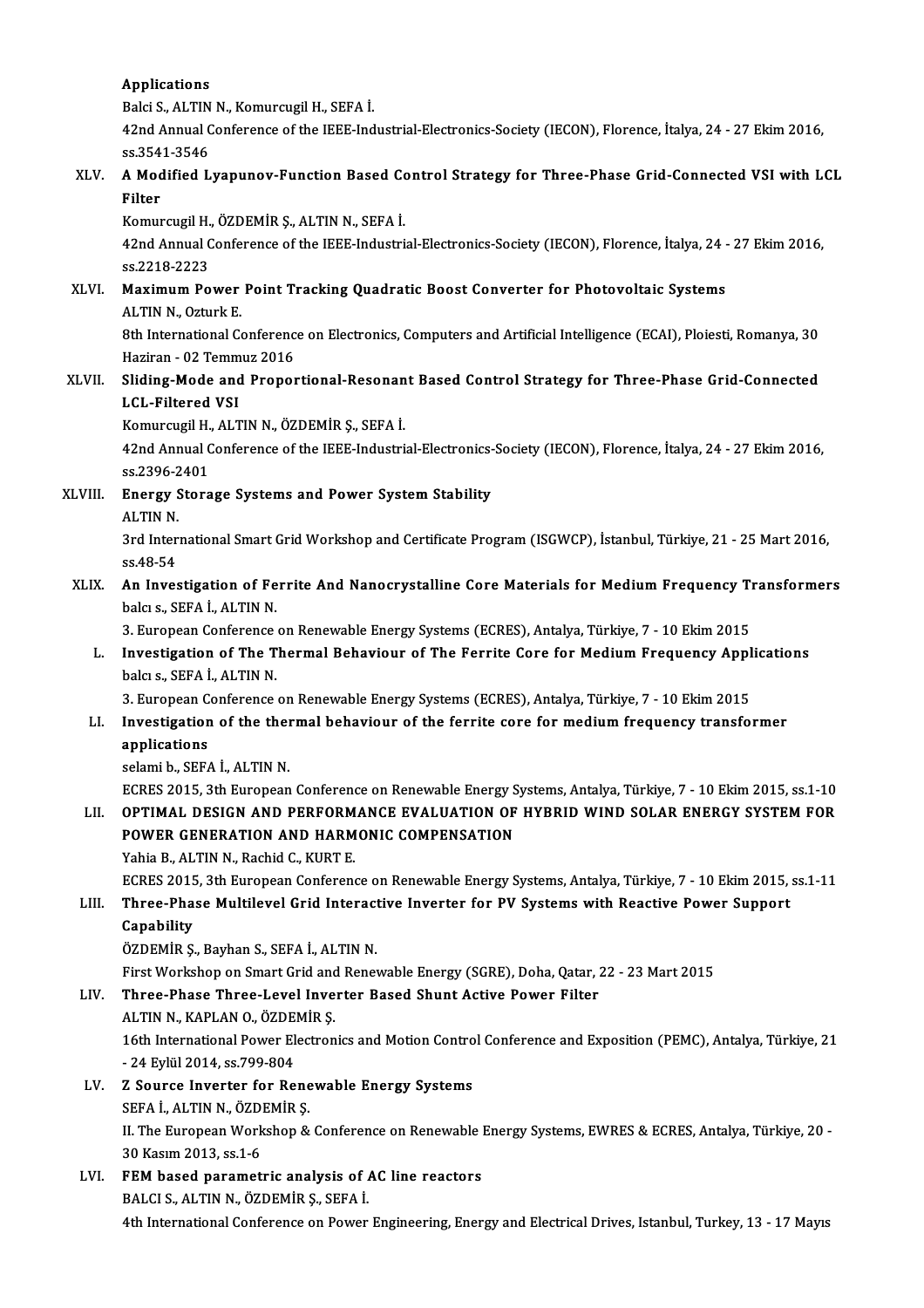#### Applications

Balci S., ALTIN N., Komurcugil H., SEFA İ.

Applications<br>Balci S., ALTIN N., Komurcugil H., SEFA İ.<br>42nd Annual Conference of the IEEE-Industrial-Electronics-Society (IECON), Florence, İtalya, 24 - 27 Ekim 2016, Balci S., ALTIN<br>42nd Annual C<br>ss.3541-3546<br>A Modified J 42nd Annual Conference of the IEEE-Industrial-Electronics-Society (IECON), Florence, İtalya, 24 - 27 Ekim 2016,<br>ss.3541-3546<br>XLV. A Modified Lyapunov-Function Based Control Strategy for Three-Phase Grid-Connected VSI wi

# ss.354<br>A Mod<br>Filter<br><sup>Komur</sup> A Modified Lyapunov-Function Based Continued Continued Continued Continued Continued Continued Continued Continued Continued Continued Incorporme<br>And Annual Continued of the IEEE Industrial

Komurcugil H., ÖZDEMİR Ş., ALTIN N., SEFA İ.

Filter<br>Komurcugil H., ÖZDEMİR Ş., ALTIN N., SEFA İ.<br>42nd Annual Conference of the IEEE-Industrial-Electronics-Society (IECON), Florence, İtalya, 24 - 27 Ekim 2016,<br>ss.2218-2223 42nd Annual Conference of the IEEE-Industrial-Electronics-Society (IECON), Florence, İtalya, 24 - ss.2218-2223<br>XLVI. Maximum Power Point Tracking Quadratic Boost Converter for Photovoltaic Systems<br>ALVI. Maximum Power Point

# ss.2218-2223<br>Maximum Power<br>ALTIN N., Ozturk E.<br><sup>Oth Intornational C</sup> Maximum Power Point Tracking Quadratic Boost Converter for Photovoltaic Systems<br>ALTIN N., Ozturk E.<br>8th International Conference on Electronics, Computers and Artificial Intelligence (ECAI), Ploiesti, Romanya, 30<br>Hariran,

ALTIN N., Ozturk E.<br>8th International Conference on Electronics, Computers and Artificial Intelligence (ECAI), Ploiesti, Romanya, 30<br>Haziran - 02 Temmuz 2016 8th International Conference on Electronics, Computers and Artificial Intelligence (ECAI), Ploiesti, Romanya, 30<br>Haziran - 02 Temmuz 2016<br>XLVII. Sliding-Mode and Proportional-Resonant Based Control Strategy for Three-Phase

# Haziran - 02 Temm<br>Sliding-Mode and<br>LCL-Filtered VSI<br>Komungugil H. ALT Sliding-Mode and Proportional-Resonan<br>LCL-Filtered VSI<br>Komurcugil H., ALTIN N., ÖZDEMİR Ş., SEFA İ.<br>42nd Annual Conforence of the IEEE Industri

Komurcugil H., ALTIN N., ÖZDEMİR Ş., SEFA İ.

LCL-Filtered VSI<br>Komurcugil H., ALTIN N., ÖZDEMİR Ş., SEFA İ.<br>42nd Annual Conference of the IEEE-Industrial-Electronics-Society (IECON), Florence, İtalya, 24 - 27 Ekim 2016,<br>ss.2396-2401 42nd Annual Conference of the IEEE-Industrial-Electronics-<br>ss.2396-2401<br>XLVIII. Energy Storage Systems and Power System Stability ss.2396-2<br><mark>Energy</mark> S<br>ALTIN N.

ALTIN N.

3rd International Smart Grid Workshop and Certificate Program (ISGWCP), İstanbul, Türkiye, 21 - 25 Mart 2016,<br>ss.48-54 3rd International Smart Grid Workshop and Certificate Program (ISGWCP), İstanbul, Türkiye, 21 - 25 Mart 2016,<br>SS.48-54<br>XLIX. An Investigation of Ferrite And Nanocrystalline Core Materials for Medium Frequency Transformers<br>

# ss.48-54<br><mark>An Investigation of Fe</mark><br>balcı s., SEFA İ., ALTIN N.<br><sup>2. Euronean Conference</sup> An Investigation of Ferrite And Nanocrystalline Core Materials for Medium Frequency Ti<br>balcı s., SEFA İ., ALTIN N.<br>3. European Conference on Renewable Energy Systems (ECRES), Antalya, Türkiye, 7 - 10 Ekim 2015<br>Investigatio

## balcı s., SEFA İ., ALTIN N.<br>3. European Conference on Renewable Energy Systems (ECRES), Antalya, Türkiye, 7 - 10 Ekim 2015<br>1. Investigation of The Thermal Behaviour of The Ferrite Core for Medium Frequency Applications<br>bal 3. European Conference<br>Investigation of The T<br>balcı s., SEFA İ., ALTIN N.<br><sup>2. European Conference</sup> Investigation of The Thermal Behaviour of The Ferrite Core for Medium Frequency Appl<br>balcı s., SEFA İ., ALTIN N.<br>3. European Conference on Renewable Energy Systems (ECRES), Antalya, Türkiye, 7 - 10 Ekim 2015<br>Investigation

### balcı s., SEFA İ., ALTIN N.<br>3. European Conference on Renewable Energy Systems (ECRES), Antalya, Türkiye, 7 - 10 Ekim 2015<br>LI. Investigation of the thermal behaviour of the ferrite core for medium frequency transformer<br>ann **3. European C**<br>Investigation<br>applications<br>colomib. SEE/ Investigation of the the<br>applications<br>selami b., SEFA İ., ALTIN N.<br>ECRES 2015, 2th Euronean applications<br>selami b., SEFA İ., ALTIN N.<br>ECRES 2015, 3th European Conference on Renewable Energy Systems, Antalya, Türkiye, 7 - 10 Ekim 2015, ss.1-10<br>OPTIMAL DESICN AND REREORMANCE EVALUATION OF HYPRID WIND SOLAR ENERCY S

### LI . OPTIMAL DESIGN AND PERFORMANCE EVALUATION OF HYBRIDWIND SOLAR ENERGY SYSTEMFOR ECRES 2015, 3th European Conference on Renewable Energy S<br>OPTIMAL DESIGN AND PERFORMANCE EVALUATION OF<br>POWER GENERATION AND HARMONIC COMPENSATION<br>Yobia B. ALTIN N. Basbid C. KUPT E LII. OPTIMAL DESIGN AND PERFORMANCE EVALUATION OF HYBRID WIND SOLAR ENERGY SYSTEM FOR POWER GENERATION AND HARMONIC COMPENSATION<br>Yahia B., ALTIN N., Rachid C., KURT E. POWER GENERATION AND HARMONIC COMPENSATION<br>Yahia B., ALTIN N., Rachid C., KURT E.<br>ECRES 2015, 3th European Conference on Renewable Energy Systems, Antalya, Türkiye, 7 - 10 Ekim 2015, ss.1-11<br>Three Phase Multilevel Crid Int

## Yahia B., ALTIN N., Rachid C., KURT E.<br>ECRES 2015, 3th European Conference on Renewable Energy Systems, Antalya, Türkiye, 7 - 10 Ekim 2015,<br>LIII. Three-Phase Multilevel Grid Interactive Inverter for PV Systems with Rea ECRES 2015<br>Three-Pha<br>Capability<br>ÖZDEMİP S Three-Phase Multilevel Grid Interact<br>Capability<br>ÖZDEMİR Ş., Bayhan S., SEFA İ., ALTIN N.<br>First Worksbon en Smart Crid and Benet

Capability<br>ÖZDEMİR Ş., Bayhan S., SEFA İ., ALTIN N.<br>First Workshop on Smart Grid and Renewable Energy (SGRE), Doha, Qatar, 22 - 23 Mart 2015

# ÖZDEMİR Ş., Bayhan S., SEFA İ., ALTIN N.<br>First Workshop on Smart Grid and Renewable Energy (SGRE), Doha, Qatar, .<br>LIV. Three-Phase Three-Level Inverter Based Shunt Active Power Filter<br>ALTIN N. KARLAN Q. ÖZDEMİR S

First Workshop on Smart Grid and<br>Three-Phase Three-Level Inve<br>ALTIN N., KAPLAN O., ÖZDEMİR Ş.<br>16th International Bewer Electron Three-Phase Three-Level Inverter Based Shunt Active Power Filter<br>ALTIN N., KAPLAN O., ÖZDEMİR Ş.<br>16th International Power Electronics and Motion Control Conference and Exposition (PEMC), Antalya, Türkiye, 21<br>24 Erlül 2014, ALTIN N., KAPLAN O., ÖZDE<br>16th International Power El<br>- 24 Eylül 2014, ss.799-804<br>7 Sourse Inverter for Be 16th International Power Electronics and Motion Contro<br>- 24 Eylül 2014, ss.799-804<br>LV. Z Source Inverter for Renewable Energy Systems<br>SEEA LALTIN N. ÖZDEMIR S

### - 24 Eylül 2014, ss.799-804<br>LV. Z Source Inverter for Renewable Energy Systems II. The European Workshop & Conference on Renewable Energy Systems, EWRES & ECRES, Antalya, Türkiye, 20 -<br>30 Kasım 2013, ss.1-6 SEFA İ., ALTIN N., ÖZDEMİR Ş.

LVI. FEM based parametric analysis of AC line reactors BALCI S.,ALTINN.,ÖZDEMİRŞ.,SEFAİ. 4th International Conference on Power Engineering, Energy and Electrical Drives, Istanbul, Turkey, 13 - 17 Mayıs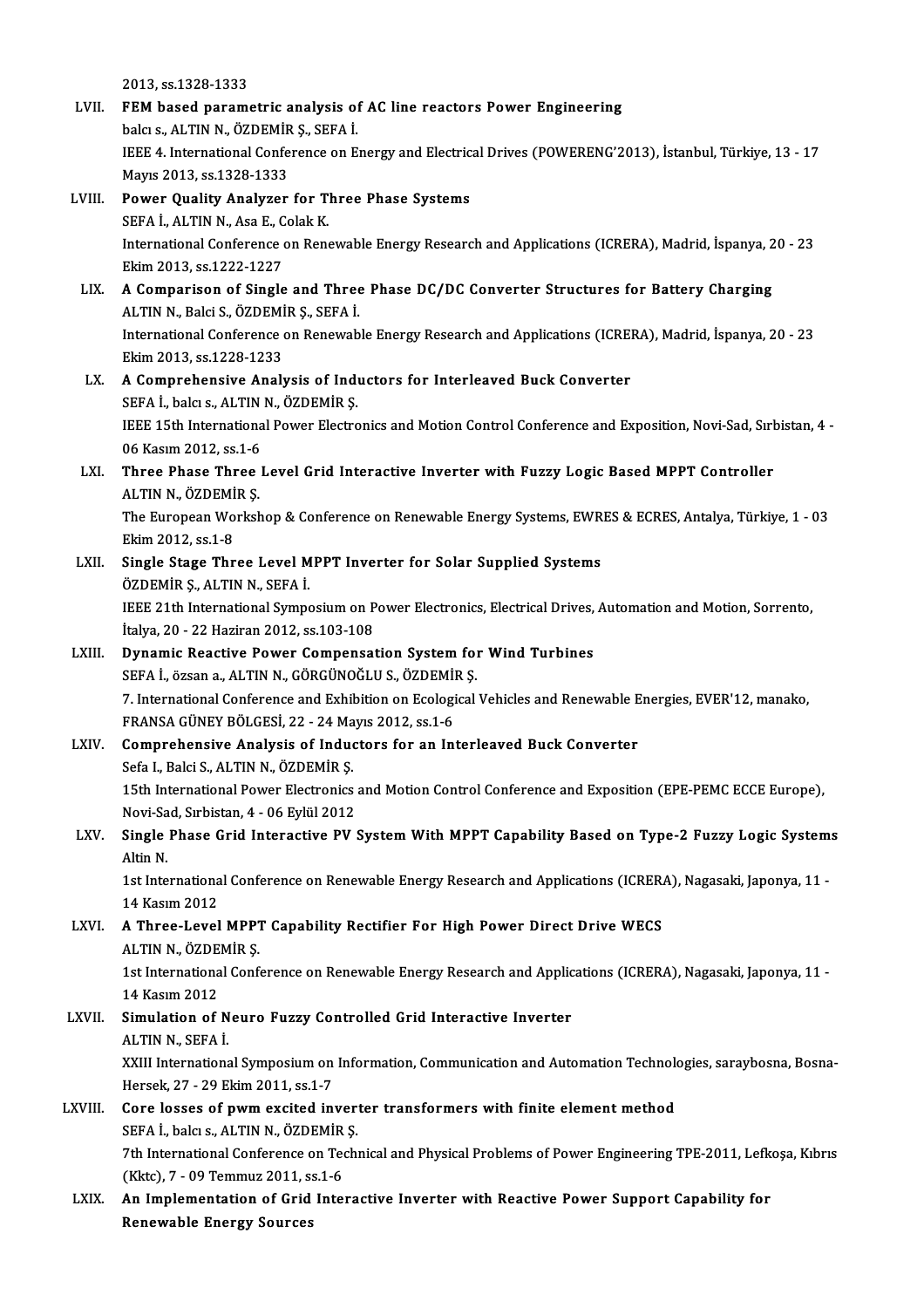2013, ss.1328-1333 LVII. FEM based parametric analysis of AC line reactors Power Engineering 2013, ss.1328-1333<br>FEM based parametric analysis of<br>balcı s., ALTIN N., ÖZDEMİR Ş., SEFA İ.<br>IEEE 4. International Conference en E IEEE 4. International Conference on Energy and Electrical Drives (POWERENG'2013), İstanbul, Türkiye, 13 - 17<br>Mayıs 2013, ss.1328-1333 balcı s., ALTIN N., ÖZDEMİR<br>IEEE 4. International Confe<br>Mayıs 2013, ss.1328-1333<br>Power Quelity Analyger IEEE 4. International Conference on Energy and Electric<br>Mayıs 2013, ss.1328-1333<br>LVIII. Power Quality Analyzer for Three Phase Systems<br>SEEA LALTIN N. Age E. Colak K. Mayıs 2013, ss.1328-1333<br>Power Quality Analyzer for T.<br>SEFA İ., ALTIN N., Asa E., Colak K.<br>International Conference en Bens International Conference on Renewable Energy Research and Applications (ICRERA), Madrid, İspanya, 20 - 23<br>Ekim 2013, ss.1222-1227 SEFA İ., ALTIN N., Asa E., Colak K. International Conference on Renewable Energy Research and Applications (ICRERA), Madrid, İspanya, 2<br>Ekim 2013, ss.1222-1227<br>LIX. A Comparison of Single and Three Phase DC/DC Converter Structures for Battery Charging<br>ALTIN Ekim 2013, ss.1222-1227<br>A Comparison of Single and Three<br>ALTIN N., Balci S., ÖZDEMİR Ş., SEFA İ.<br>International Conference en Benevyeb A Comparison of Single and Three Phase DC/DC Converter Structures for Battery Charging<br>ALTIN N., Balci S., ÖZDEMİR Ş., SEFA İ.<br>International Conference on Renewable Energy Research and Applications (ICRERA), Madrid, İspany ALTIN N., Balci S., ÖZDEMİR Ş., SEFA İ.<br>International Conference on Renewable Energy Research and Applications (ICRERA), Madrid, İspanya, 20 - 23<br>Ekim 2013, ss.1228-1233 International Conference on Renewable Energy Research and Applications (ICRE)<br>Ekim 2013, ss.1228-1233<br>LX. A Comprehensive Analysis of Inductors for Interleaved Buck Converter<br>SEEA L balg s. ALTIN N. ÖZDEMIR S Ekim 2013, ss.1228-1233<br>**A Comprehensive Analysis of Index**<br>SEFA İ., balcı s., ALTIN N., ÖZDEMİR Ş.<br>IEEE 15th International Bewer Electre IEEE 15th International Power Electronics and Motion Control Conference and Exposition, Novi-Sad, Sırbistan, 4 -SEFA İ., balcı s., ALTIN N., ÖZDEMİR Ş. LXI. Three Phase Three Level Grid Interactive Inverter with Fuzzy Logic Based MPPT Controller<br>ALTIN N., ÖZDEMİR Ş. 06 Kasım 2012, ss.1-6 Three Phase Three Level Grid Interactive Inverter with Fuzzy Logic Based MPPT Controller<br>ALTIN N., ÖZDEMİR Ş.<br>The European Workshop & Conference on Renewable Energy Systems, EWRES & ECRES, Antalya, Türkiye, 1 - 03<br>Flim 201 ALTIN N., ÖZDEMİ<br>The European Wo<br>Ekim 2012, ss.1-8<br>Single Stage Thr The European Workshop & Conference on Renewable Energy Systems, EWR<br>Ekim 2012, ss.1-8<br>LXII. Single Stage Three Level MPPT Inverter for Solar Supplied Systems<br>ÖZDEMİR S. ALTIN N. SERA İ Ekim 2012, ss.1-8<br>Single Stage Three Level MPPT Inverter for Solar Supplied Systems<br>ÖZDEMİR Ş., ALTIN N., SEFA İ. Single Stage Three Level MPPT Inverter for Solar Supplied Systems<br>ÖZDEMİR Ş., ALTIN N., SEFA İ.<br>IEEE 21th International Symposium on Power Electronics, Electrical Drives, Automation and Motion, Sorrento,<br>İtalya 20, 22 Hari ÖZDEMİR Ş., ALTIN N., SEFA İ.<br>IEEE 21th International Symposium on P<br>İtalya, 20 - 22 Haziran 2012, ss.103-108<br>Dunamia Baastiva Bowar Componest IEEE 21th International Symposium on Power Electronics, Electrical Drives,<br>
italya, 20 - 22 Haziran 2012, ss.103-108<br>
LXIII. Dynamic Reactive Power Compensation System for Wind Turbines İtalya, 20 - 22 Haziran 2012, ss.103-108<br>Dynamic Reactive Power Compensation System for<br>SEFA İ., özsan a., ALTIN N., GÖRGÜNOĞLU S., ÖZDEMİR Ş.<br>7. International Conference and Evhibition en Eselegical. SEFA İ., özsan a., ALTIN N., GÖRGÜNOĞLU S., ÖZDEMİR Ş.<br>7. International Conference and Exhibition on Ecological Vehicles and Renewable Energies, EVER'12, manako, SEFA İ., özsan a., ALTIN N., GÖRGÜNOĞLU S., ÖZDEMİ<br>7. International Conference and Exhibition on Ecologi<br>FRANSA GÜNEY BÖLGESİ, 22 - 24 Mayıs 2012, ss.1-6<br>Comprehensive Analysis of Industars for an Ini LXIV. Comprehensive Analysis of Inductors for an Interleaved Buck Converter<br>Sefa I., Balci S., ALTIN N., ÖZDEMİR S. FRANSA GÜNEY BÖLGESİ, 22 - 24 Ma<br>Comprehensive Analysis of Induc<br>Sefa I., Balci S., ALTIN N., ÖZDEMİR Ş.<br>15th International Bewer Electronics Comprehensive Analysis of Inductors for an Interleaved Buck Converter<br>Sefa I., Balci S., ALTIN N., ÖZDEMİR Ş.<br>15th International Power Electronics and Motion Control Conference and Exposition (EPE-PEMC ECCE Europe),<br>Navi S Sefa I., Balci S., ALTIN N., ÖZDEMİR Ş.<br>15th International Power Electronics<br>Novi-Sad, Sırbistan, 4 - 06 Eylül 2012<br>Single Phase Crid Internative BV 1 15th International Power Electronics and Motion Control Conference and Exposition (EPE-PEMC ECCE Europe),<br>Novi-Sad, Sırbistan, 4 - 06 Eylül 2012<br>LXV. Single Phase Grid Interactive PV System With MPPT Capability Based on Ty Novi-Sa<br>Single<br>Altin N.<br>1st Inte Single Phase Grid Interactive PV System With MPPT Capability Based on Type-2 Fuzzy Logic System:<br>Altin N.<br>1st International Conference on Renewable Energy Research and Applications (ICRERA), Nagasaki, Japonya, 11 -<br>14 Kesu Altin N.<br>1st International Conference on Renewable Energy Research and Applications (ICRERA), Nagasaki, Japonya, 11 -<br>14 Kasım 2012 1st International Conference on Renewable Energy Research and Applications (ICRER<br>14 Kasım 2012<br>LXVI. A Three-Level MPPT Capability Rectifier For High Power Direct Drive WECS 14 Kasım 2012<br>A Three-Level MPP?<br>ALTIN N., ÖZDEMİR Ş.<br>1st International Conf A Three-Level MPPT Capability Rectifier For High Power Direct Drive WECS<br>ALTIN N., ÖZDEMİR Ş.<br>1st International Conference on Renewable Energy Research and Applications (ICRERA), Nagasaki, Japonya, 11 -<br>14 Kasım 2012 ALTIN N., ÖZDE<br>1st Internationa<br>14 Kasım 2012<br>Simulation of 1st International Conference on Renewable Energy Research and Applic<br>14 Kasım 2012<br>LXVII. Simulation of Neuro Fuzzy Controlled Grid Interactive Inverter 14 Kasım 2012<br>Simulation of N<br>ALTIN N., SEFA İ.<br>YYULInternations Simulation of Neuro Fuzzy Controlled Grid Interactive Inverter<br>ALTIN N., SEFA İ.<br>XXIII International Symposium on Information, Communication and Automation Technologies, saraybosna, Bosna-<br>Horsek 27 - 29 Ekim 2011 es 1-7

ALTIN N., SEFA İ.<br>XXIII International Symposium on<br>Hersek, 27 - 29 Ekim 2011, ss.1-7<br>Core lasses of nuum eveited in: XXIII International Symposium on Information, Communication and Automation Technole<br>Hersek, 27 - 29 Ekim 2011, ss.1-7<br>LXVIII. Core losses of pwm excited inverter transformers with finite element method

- Hersek, 27 29 Ekim 2011, ss.1-7<br>Core losses of pwm excited inver<br>SEFA İ., balcı s., ALTIN N., ÖZDEMİR Ş.<br>7th International Conference en Tesh. Core losses of pwm excited inverter transformers with finite element method<br>SEFA İ., balcı s., ALTIN N., ÖZDEMİR Ş.<br>7th International Conference on Technical and Physical Problems of Power Engineering TPE-2011, Lefkoşa, Kı SEFA İ., balcı s., ALTIN N., ÖZDEMİR<br>7th International Conference on Teo<br>(Kktc), 7 - 09 Temmuz 2011, ss.1-6<br>An Implementation of Crid Inte
- LXIX. An Implementation of Grid Interactive Inverter with Reactive Power Support Capability for Renewable Energy Sources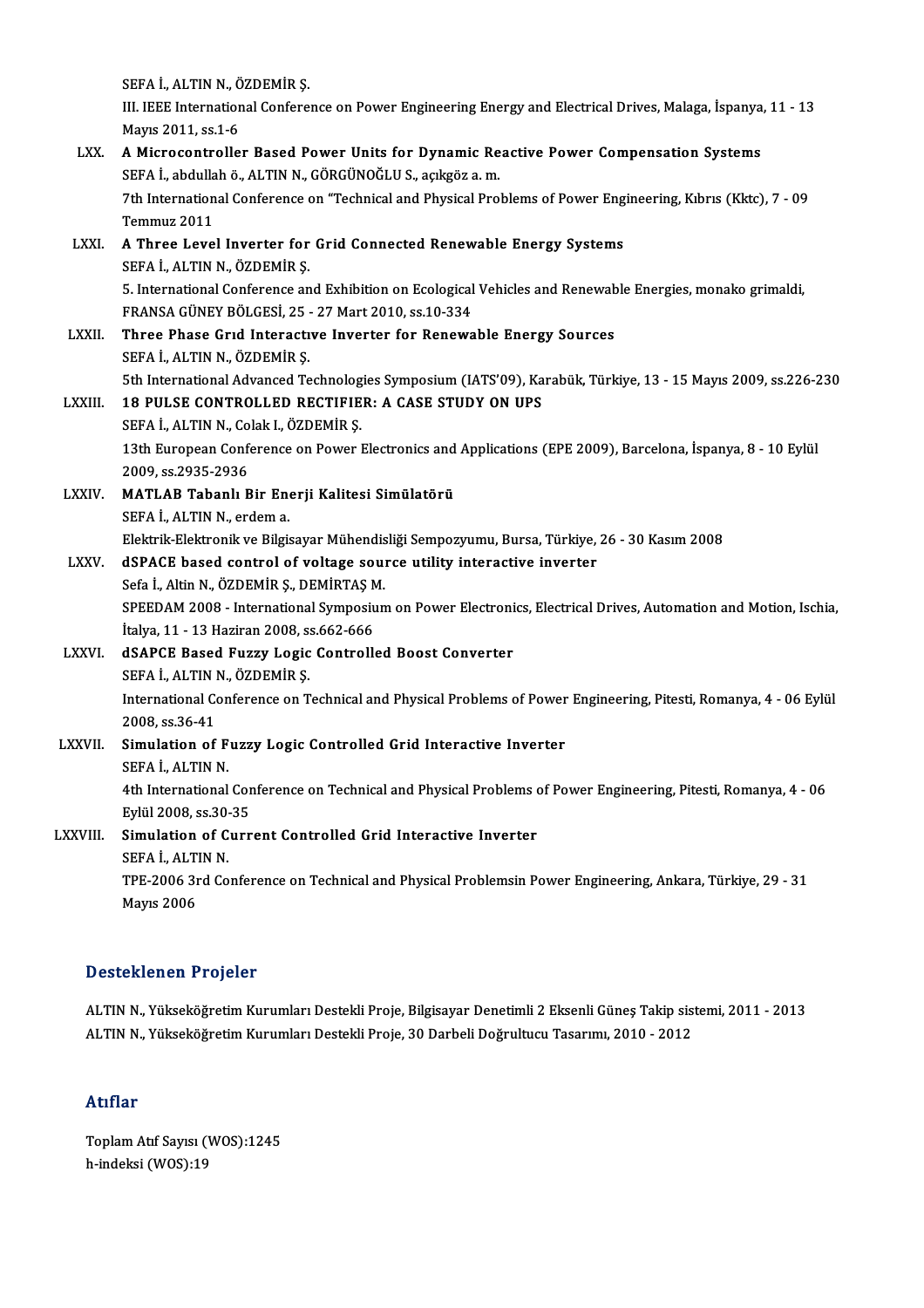|               | SEFA İ., ALTIN N., ÖZDEMİR Ş.                                                                                    |
|---------------|------------------------------------------------------------------------------------------------------------------|
|               | III. IEEE International Conference on Power Engineering Energy and Electrical Drives, Malaga, İspanya, 11 - 13   |
|               | Mayıs 2011, ss 1-6                                                                                               |
| LXX.          | A Microcontroller Based Power Units for Dynamic Reactive Power Compensation Systems                              |
|               | SEFA İ., abdullah ö., ALTIN N., GÖRGÜNOĞLU S., açıkgöz a.m.                                                      |
|               | 7th International Conference on "Technical and Physical Problems of Power Engineering, Kıbrıs (Kktc), 7 - 09     |
|               | Temmuz 2011                                                                                                      |
| LXXI.         | A Three Level Inverter for Grid Connected Renewable Energy Systems                                               |
|               | SEFA İ., ALTIN N., ÖZDEMİR Ş.                                                                                    |
|               | 5. International Conference and Exhibition on Ecological Vehicles and Renewable Energies, monako grimaldi,       |
|               | FRANSA GÜNEY BÖLGESİ, 25 - 27 Mart 2010, ss 10-334                                                               |
| LXXII.        | Three Phase Grid Interactive Inverter for Renewable Energy Sources                                               |
|               | SEFA İ, ALTIN N, ÖZDEMİR Ş.                                                                                      |
|               | 5th International Advanced Technologies Symposium (IATS'09), Karabük, Türkiye, 13 - 15 Mayıs 2009, ss.226-230    |
| <b>LXXIII</b> | <b>18 PULSE CONTROLLED RECTIFIER: A CASE STUDY ON UPS</b>                                                        |
|               | SEFA İ., ALTIN N., Colak I., ÖZDEMİR Ş.                                                                          |
|               | 13th European Conference on Power Electronics and Applications (EPE 2009), Barcelona, İspanya, 8 - 10 Eylül      |
|               | 2009, ss 2935-2936                                                                                               |
| <b>LXXIV</b>  | MATLAB Tabanlı Bir Enerji Kalitesi Simülatörü                                                                    |
|               | SEFA İ., ALTIN N., erdem a.                                                                                      |
|               | Elektrik-Elektronik ve Bilgisayar Mühendisliği Sempozyumu, Bursa, Türkiye, 26 - 30 Kasım 2008                    |
| LXXV.         | dSPACE based control of voltage source utility interactive inverter                                              |
|               | Sefa İ., Altin N., ÖZDEMİR Ş., DEMİRTAŞ M.                                                                       |
|               | SPEEDAM 2008 - International Symposium on Power Electronics, Electrical Drives, Automation and Motion, Ischia,   |
|               | İtalya, 11 - 13 Haziran 2008, ss 662-666                                                                         |
| <b>LXXVI</b>  | dSAPCE Based Fuzzy Logic Controlled Boost Converter<br>SEFA İ., ALTIN N., ÖZDEMİR Ş.                             |
|               | International Conference on Technical and Physical Problems of Power Engineering, Pitesti, Romanya, 4 - 06 Eylül |
|               | 2008. ss 36-41                                                                                                   |
| LXXVII.       | Simulation of Fuzzy Logic Controlled Grid Interactive Inverter                                                   |
|               | SEFA İ., ALTIN N.                                                                                                |
|               | 4th International Conference on Technical and Physical Problems of Power Engineering, Pitesti, Romanya, 4 - 06   |
|               | Eylül 2008, ss 30-35                                                                                             |
| LXXVIII.      | Simulation of Current Controlled Grid Interactive Inverter                                                       |
|               | SEFA I., ALTIN N.                                                                                                |
|               | TPE-2006 3rd Conference on Technical and Physical Problemsin Power Engineering, Ankara, Türkiye, 29 - 31         |
|               | <b>Mayıs 2006</b>                                                                                                |

#### Desteklenen Projeler

Desteklenen Projeler<br>ALTIN N., Yükseköğretim Kurumları Destekli Proje, Bilgisayar Denetimli 2 Eksenli Güneş Takip sistemi, 2011 - 2013<br>ALTIN N. Yükseköğretim Kurumları Destekli Proje, 20 Derheli Değrultucu Teserum, 2010, 2 D ODCOMONOM Y YUJOLOI<br>ALTIN N., Yükseköğretim Kurumları Destekli Proje, Bilgisayar Denetimli 2 Eksenli Güneş Takip sis<sup>.</sup><br>ALTIN N., Yükseköğretim Kurumları Destekli Proje, 30 Darbeli Doğrultucu Tasarımı, 2010 - 2012 ALTIN N., Yükseköğretim Kurumları Destekli Proje, 30 Darbeli Doğrultucu Tasarımı, 2010 - 2012<br>Atıflar

Atıflar<br>Toplam Atıf Sayısı (WOS):1245<br>b indeksi (WOS):19 rrerrer<br>Toplam Atıf Sayısı (<br>h-indeksi (WOS):19